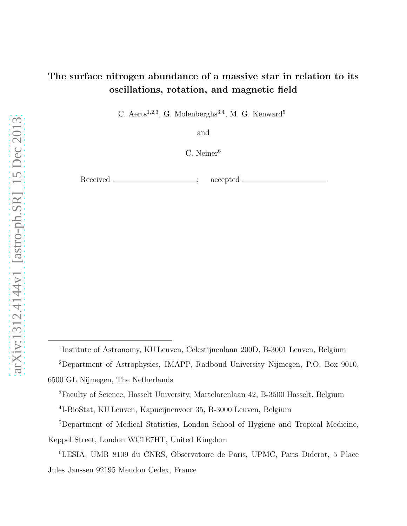# The surface nitrogen abundance of a massive star in relation to its oscillations, rotation, and magnetic field

C. Aerts<sup>1,2,3</sup>, G. Molenberghs<sup>3,4</sup>, M. G. Kenward<sup>5</sup>

and

C. Neiner<sup>6</sup>

Received <u>\_\_\_\_\_\_\_\_\_\_\_\_\_\_\_\_\_;</u> accepted .

<sup>1</sup>Institute of Astronomy, KU Leuven, Celestijnenlaan 200D, B-3001 Leuven, Belgium

<sup>2</sup>Department of Astrophysics, IMAPP, Radboud University Nijmegen, P.O. Box 9010,

<sup>6500</sup> GL Nijmegen, The Netherlands

<sup>3</sup>Faculty of Science, Hasselt University, Martelarenlaan 42, B-3500 Hasselt, Belgium 4 I-BioStat, KU Leuven, Kapucijnenvoer 35, B-3000 Leuven, Belgium

<sup>5</sup>Department of Medical Statistics, London School of Hygiene and Tropical Medicine, Keppel Street, London WC1E7HT, United Kingdom

<sup>6</sup>LESIA, UMR 8109 du CNRS, Observatoire de Paris, UPMC, Paris Diderot, 5 Place Jules Janssen 92195 Meudon Cedex, France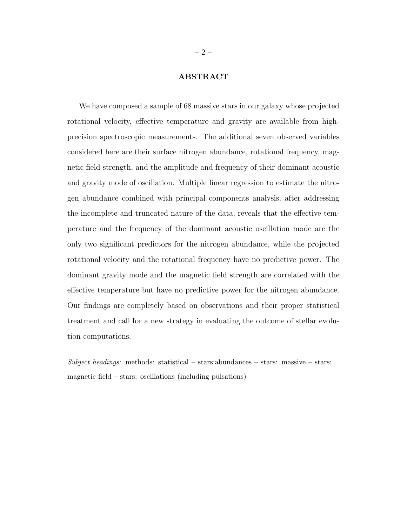# ABSTRACT

We have composed a sample of 68 massive stars in our galaxy whose projected rotational velocity, effective temperature and gravity are available from highprecision spectroscopic measurements. The additional seven observed variables considered here are their surface nitrogen abundance, rotational frequency, magnetic field strength, and the amplitude and frequency of their dominant acoustic and gravity mode of oscillation. Multiple linear regression to estimate the nitrogen abundance combined with principal components analysis, after addressing the incomplete and truncated nature of the data, reveals that the effective temperature and the frequency of the dominant acoustic oscillation mode are the only two significant predictors for the nitrogen abundance, while the projected rotational velocity and the rotational frequency have no predictive power. The dominant gravity mode and the magnetic field strength are correlated with the effective temperature but have no predictive power for the nitrogen abundance. Our findings are completely based on observations and their proper statistical treatment and call for a new strategy in evaluating the outcome of stellar evolution computations.

 $Subject$  headings: methods: statistical – stars: abundances – stars: massive – stars: magnetic field – stars: oscillations (including pulsations)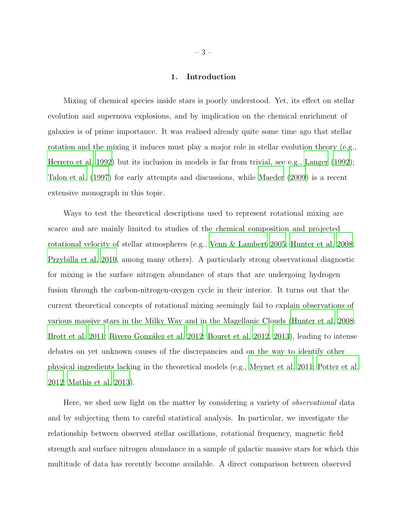# 1. Introduction

Mixing of chemical species inside stars is poorly understood. Yet, its effect on stellar evolution and supernova explosions, and by implication on the chemical enrichment of galaxies is of prime importance. It was realised already quite some time ago that stellar rotation and the mixing it induces must play a major role in stellar evolution theory (e.g., [Herrero et al. 1992](#page-28-0)) but its inclusion in models is far from trivial, see e.g., [Langer \(1992\)](#page-29-0); [Talon et al. \(1997\)](#page-32-0) for early attempts and discussions, while [Maeder](#page-29-1) [\(2009\)](#page-29-1) is a recent extensive monograph in this topic.

Ways to test the theoretical descriptions used to represent rotational mixing are scarce and are mainly limited to studies of the chemical composition and projected rotational velocity of stellar atmospheres (e.g., [Venn & Lambert 2005;](#page-32-1) [Hunter et al. 2008;](#page-28-1) [Przybilla et al. 2010,](#page-31-0) among many others). A particularly strong observational diagnostic for mixing is the surface nitrogen abundance of stars that are undergoing hydrogen fusion through the carbon-nitrogen-oxygen cycle in their interior. It turns out that the current theoretical concepts of rotational mixing seemingly fail to explain observations of various massive stars in the Milky Way and in the Magellanic Clouds [\(Hunter et al. 2008;](#page-28-1) [Brott et al. 2011](#page-26-0); Rivero González et al. 2012; [Bouret et al. 2012,](#page-26-1) [2013](#page-26-2)), leading to intense debates on yet unknown causes of the discrepancies and on the way to identify other physical ingredients lacking in the theoretical models (e.g., [Meynet et al. 2011;](#page-29-2) [Potter et al.](#page-31-2) [2012;](#page-31-2) [Mathis et al. 2013](#page-29-3)).

Here, we shed new light on the matter by considering a variety of observational data and by subjecting them to careful statistical analysis. In particular, we investigate the relationship between observed stellar oscillations, rotational frequency, magnetic field strength and surface nitrogen abundance in a sample of galactic massive stars for which this multitude of data has recently become available. A direct comparison between observed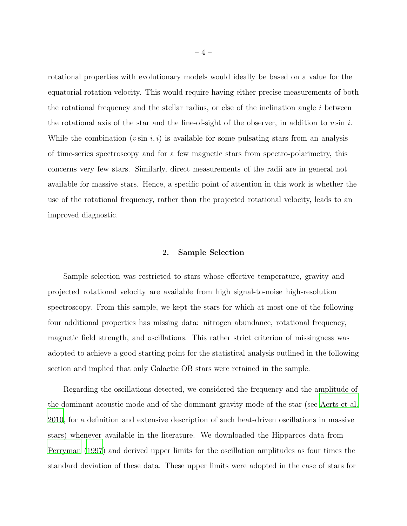rotational properties with evolutionary models would ideally be based on a value for the equatorial rotation velocity. This would require having either precise measurements of both the rotational frequency and the stellar radius, or else of the inclination angle  $i$  between the rotational axis of the star and the line-of-sight of the observer, in addition to  $v \sin i$ . While the combination  $(v \sin i, i)$  is available for some pulsating stars from an analysis of time-series spectroscopy and for a few magnetic stars from spectro-polarimetry, this concerns very few stars. Similarly, direct measurements of the radii are in general not available for massive stars. Hence, a specific point of attention in this work is whether the use of the rotational frequency, rather than the projected rotational velocity, leads to an improved diagnostic.

# 2. Sample Selection

Sample selection was restricted to stars whose effective temperature, gravity and projected rotational velocity are available from high signal-to-noise high-resolution spectroscopy. From this sample, we kept the stars for which at most one of the following four additional properties has missing data: nitrogen abundance, rotational frequency, magnetic field strength, and oscillations. This rather strict criterion of missingness was adopted to achieve a good starting point for the statistical analysis outlined in the following section and implied that only Galactic OB stars were retained in the sample.

Regarding the oscillations detected, we considered the frequency and the amplitude of the dominant acoustic mode and of the dominant gravity mode of the star (see [Aerts et al.](#page-25-0) [2010,](#page-25-0) for a definition and extensive description of such heat-driven oscillations in massive stars) whenever available in the literature. We downloaded the Hipparcos data from [Perryman \(1997](#page-30-0)) and derived upper limits for the oscillation amplitudes as four times the standard deviation of these data. These upper limits were adopted in the case of stars for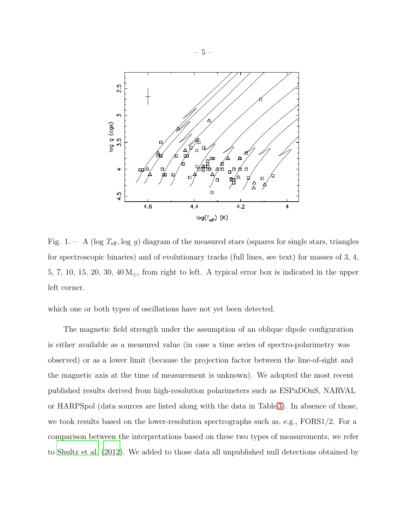

<span id="page-4-0"></span>Fig. 1.— A (log  $T_{\text{eff}}$ , log g) diagram of the measured stars (squares for single stars, triangles for spectroscopic binaries) and of evolutionary tracks (full lines, see text) for masses of 3, 4, 5, 7, 10, 15, 20, 30, 40  $M_{\odot}$ , from right to left. A typical error box is indicated in the upper left corner.

which one or both types of oscillations have not yet been detected.

The magnetic field strength under the assumption of an oblique dipole configuration is either available as a measured value (in case a time series of spectro-polarimetry was observed) or as a lower limit (because the projection factor between the line-of-sight and the magnetic axis at the time of measurement is unknown). We adopted the most recent published results derived from high-resolution polarimeters such as ESPaDOnS, NARVAL or HARPSpol (data sources are listed along with the data in Table [3\)](#page-40-0). In absence of those, we took results based on the lower-resolution spectrographs such as, e.g., FORS1/2. For a comparison between the interpretations based on these two types of measurements, we refer to [Shultz et al. \(2012](#page-32-2)). We added to those data all unpublished null detections obtained by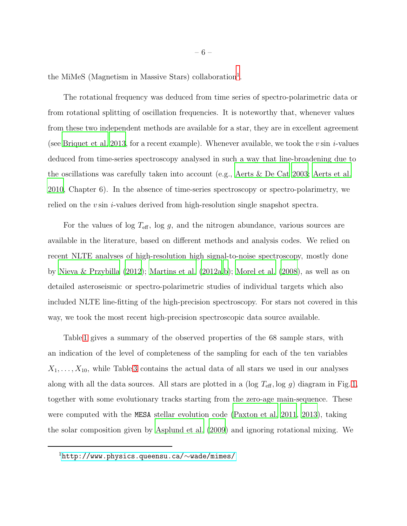the MiMeS (Magnetism in Massive Stars) collaboration<sup>[1](#page-33-0)</sup>.

The rotational frequency was deduced from time series of spectro-polarimetric data or from rotational splitting of oscillation frequencies. It is noteworthy that, whenever values from these two independent methods are available for a star, they are in excellent agreement (see [Briquet et al. 2013](#page-26-3), for a recent example). Whenever available, we took the v sin i-values deduced from time-series spectroscopy analysed in such a way that line-broadening due to the oscillations was carefully taken into account (e.g., [Aerts & De Cat](#page-25-1) [2003](#page-25-1); [Aerts et al.](#page-25-0) [2010,](#page-25-0) Chapter 6). In the absence of time-series spectroscopy or spectro-polarimetry, we relied on the v sin *i*-values derived from high-resolution single snapshot spectra.

For the values of log  $T_{\text{eff}}$ , log g, and the nitrogen abundance, various sources are available in the literature, based on different methods and analysis codes. We relied on recent NLTE analyses of high-resolution high signal-to-noise spectroscopy, mostly done by [Nieva & Przybilla \(2012\)](#page-30-1); [Martins et al. \(2012a](#page-29-4)[,b](#page-29-5)); [Morel et al. \(2008](#page-30-2)), as well as on detailed asteroseismic or spectro-polarimetric studies of individual targets which also included NLTE line-fitting of the high-precision spectroscopy. For stars not covered in this way, we took the most recent high-precision spectroscopic data source available.

Table [1](#page-8-0) gives a summary of the observed properties of the 68 sample stars, with an indication of the level of completeness of the sampling for each of the ten variables  $X_1, \ldots, X_{10}$ , while Table [3](#page-40-0) contains the actual data of all stars we used in our analyses along with all the data sources. All stars are plotted in a (log  $T_{\text{eff}}$ , log g) diagram in Fig. [1,](#page-4-0) together with some evolutionary tracks starting from the zero-age main-sequence. These were computed with the MESA stellar evolution code [\(Paxton et al. 2011](#page-30-3), [2013\)](#page-30-4), taking the solar composition given by [Asplund et al. \(2009](#page-25-2)) and ignoring rotational mixing. We

<sup>1</sup>[http://www.physics.queensu.ca/](http://www.physics.queensu.ca/~wade/mimes/)∼wade/mimes/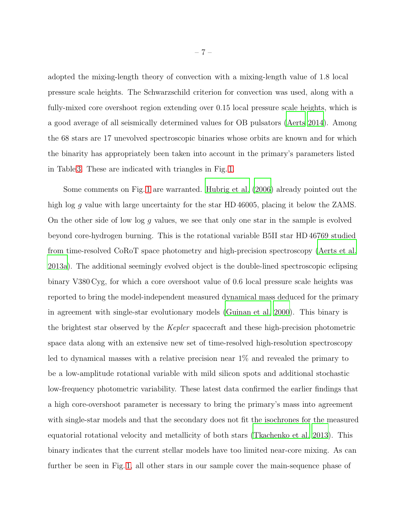adopted the mixing-length theory of convection with a mixing-length value of 1.8 local pressure scale heights. The Schwarzschild criterion for convection was used, along with a fully-mixed core overshoot region extending over 0.15 local pressure scale heights, which is a good average of all seismically determined values for OB pulsators [\(Aerts 2014\)](#page-25-3). Among the 68 stars are 17 unevolved spectroscopic binaries whose orbits are known and for which the binarity has appropriately been taken into account in the primary's parameters listed in Table [3.](#page-40-0) These are indicated with triangles in Fig. [1.](#page-4-0)

Some comments on Fig. [1](#page-4-0) are warranted. [Hubrig et al. \(2006](#page-28-2)) already pointed out the high log q value with large uncertainty for the star HD 46005, placing it below the ZAMS. On the other side of low log g values, we see that only one star in the sample is evolved beyond core-hydrogen burning. This is the rotational variable B5II star HD 46769 studied from time-resolved CoRoT space photometry and high-precision spectroscopy [\(Aerts et al.](#page-25-4) [2013a](#page-25-4)). The additional seemingly evolved object is the double-lined spectroscopic eclipsing binary V380 Cyg, for which a core overshoot value of 0.6 local pressure scale heights was reported to bring the model-independent measured dynamical mass deduced for the primary in agreement with single-star evolutionary models [\(Guinan et al. 2000\)](#page-28-3). This binary is the brightest star observed by the Kepler spacecraft and these high-precision photometric space data along with an extensive new set of time-resolved high-resolution spectroscopy led to dynamical masses with a relative precision near 1% and revealed the primary to be a low-amplitude rotational variable with mild silicon spots and additional stochastic low-frequency photometric variability. These latest data confirmed the earlier findings that a high core-overshoot parameter is necessary to bring the primary's mass into agreement with single-star models and that the secondary does not fit the isochrones for the measured equatorial rotational velocity and metallicity of both stars [\(Tkachenko et al. 2013\)](#page-32-3). This binary indicates that the current stellar models have too limited near-core mixing. As can further be seen in Fig. [1,](#page-4-0) all other stars in our sample cover the main-sequence phase of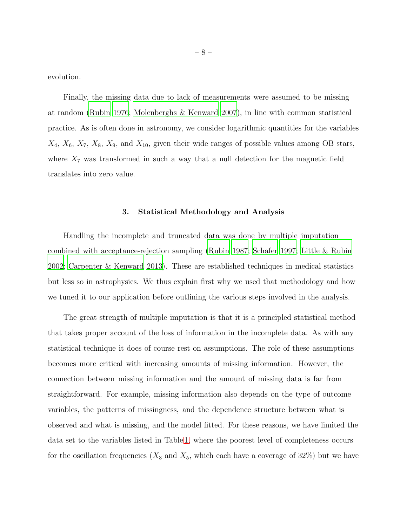evolution.

Finally, the missing data due to lack of measurements were assumed to be missing at random [\(Rubin 1976;](#page-31-3) [Molenberghs & Kenward 2007\)](#page-30-5), in line with common statistical practice. As is often done in astronomy, we consider logarithmic quantities for the variables  $X_4$ ,  $X_6$ ,  $X_7$ ,  $X_8$ ,  $X_9$ , and  $X_{10}$ , given their wide ranges of possible values among OB stars, where  $X_7$  was transformed in such a way that a null detection for the magnetic field translates into zero value.

# 3. Statistical Methodology and Analysis

Handling the incomplete and truncated data was done by multiple imputation combined with acceptance-rejection sampling [\(Rubin 1987;](#page-31-4) [Schafer 1997](#page-31-5); [Little & Rubin](#page-29-6) [2002;](#page-29-6) [Carpenter & Kenward 2013](#page-27-0)). These are established techniques in medical statistics but less so in astrophysics. We thus explain first why we used that methodology and how we tuned it to our application before outlining the various steps involved in the analysis.

The great strength of multiple imputation is that it is a principled statistical method that takes proper account of the loss of information in the incomplete data. As with any statistical technique it does of course rest on assumptions. The role of these assumptions becomes more critical with increasing amounts of missing information. However, the connection between missing information and the amount of missing data is far from straightforward. For example, missing information also depends on the type of outcome variables, the patterns of missingness, and the dependence structure between what is observed and what is missing, and the model fitted. For these reasons, we have limited the data set to the variables listed in Table [1,](#page-8-0) where the poorest level of completeness occurs for the oscillation frequencies  $(X_3 \text{ and } X_5)$ , which each have a coverage of 32%) but we have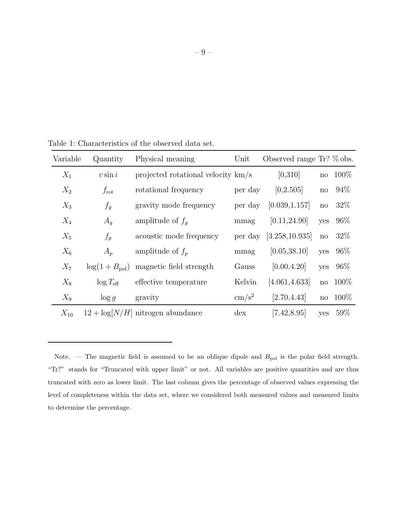<span id="page-8-0"></span>

| Variable | Quantity                | Physical meaning                     | Unit                | Observed range Tr? $\%$ obs. |                        |          |
|----------|-------------------------|--------------------------------------|---------------------|------------------------------|------------------------|----------|
| $X_1$    | $v \sin i$              | projected rotational velocity $km/s$ |                     | [0,310]                      |                        | no 100%  |
| $X_2$    | $f_{\rm rot}$           | rotational frequency                 | per day             | [0,2.505]                    | $\operatorname{no}$    | 94%      |
| $X_3$    | $f_g$                   | gravity mode frequency               | per day             | [0.039, 1.157]               | $\mathbf{n}\mathbf{o}$ | 32%      |
| $X_4$    | $A_q$                   | amplitude of $f_a$                   | mmag                | [0.11, 24.90]                | yes                    | 96%      |
| $X_5$    | $f_p$                   | acoustic mode frequency              | per day             | [3.258, 10.935]              | $\mathbf{n}\mathbf{o}$ | 32%      |
| $X_6$    | $A_p$                   | amplitude of $f_n$                   | mmag                | [0.05, 38.10]                | yes                    | 96%      |
| $X_7$    | $log(1+B_{\text{pol}})$ | magnetic field strength              | Gauss               | [0.00, 4.20]                 | yes                    | 96%      |
| $X_8$    | $\log T_{\text{eff}}$   | effective temperature                | Kelvin              | [4.061, 4.633]               |                        | no 100\% |
| $X_9$    | $\log g$                | gravity                              | $\,\mathrm{cm/s^2}$ | [2.70, 4.43]                 |                        | no 100%  |
| $X_{10}$ |                         | $12 + \log[N/H]$ nitrogen abundance  | $\frac{d}{dx}$      | [7.42, 8.95]                 | yes                    | $59\%$   |

Table 1: Characteristics of the observed data set.

Note. — The magnetic field is assumed to be an oblique dipole and  $B_{\text{pol}}$  is the polar field strength. "Tr?" stands for "Truncated with upper limit" or not. All variables are positive quantities and are thus truncated with zero as lower limit. The last column gives the percentage of observed values expressing the level of completeness within the data set, where we considered both measured values and measured limits to determine the percentage.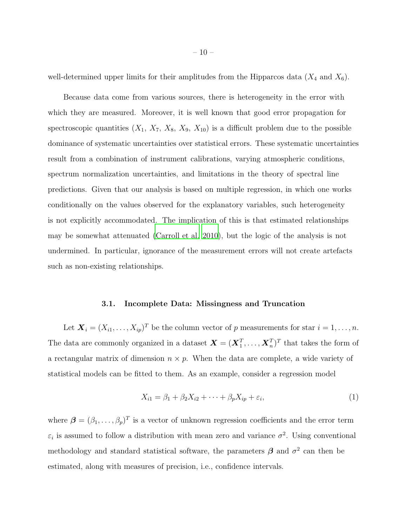well-determined upper limits for their amplitudes from the Hipparcos data  $(X_4$  and  $X_6)$ .

Because data come from various sources, there is heterogeneity in the error with which they are measured. Moreover, it is well known that good error propagation for spectroscopic quantities  $(X_1, X_7, X_8, X_9, X_{10})$  is a difficult problem due to the possible dominance of systematic uncertainties over statistical errors. These systematic uncertainties result from a combination of instrument calibrations, varying atmospheric conditions, spectrum normalization uncertainties, and limitations in the theory of spectral line predictions. Given that our analysis is based on multiple regression, in which one works conditionally on the values observed for the explanatory variables, such heterogeneity is not explicitly accommodated. The implication of this is that estimated relationships may be somewhat attenuated [\(Carroll et al. 2010](#page-27-1)), but the logic of the analysis is not undermined. In particular, ignorance of the measurement errors will not create artefacts such as non-existing relationships.

# 3.1. Incomplete Data: Missingness and Truncation

<span id="page-9-0"></span>Let  $\mathbf{X}_i = (X_{i1}, \dots, X_{ip})^T$  be the column vector of p measurements for star  $i = 1, \dots, n$ . The data are commonly organized in a dataset  $\boldsymbol{X} = (\boldsymbol{X}_1^T, \dots, \boldsymbol{X}_n^T)^T$  that takes the form of a rectangular matrix of dimension  $n \times p$ . When the data are complete, a wide variety of statistical models can be fitted to them. As an example, consider a regression model

$$
X_{i1} = \beta_1 + \beta_2 X_{i2} + \dots + \beta_p X_{ip} + \varepsilon_i,\tag{1}
$$

where  $\boldsymbol{\beta} = (\beta_1, \ldots, \beta_p)^T$  is a vector of unknown regression coefficients and the error term  $\varepsilon_i$  is assumed to follow a distribution with mean zero and variance  $\sigma^2$ . Using conventional methodology and standard statistical software, the parameters  $\beta$  and  $\sigma^2$  can then be estimated, along with measures of precision, i.e., confidence intervals.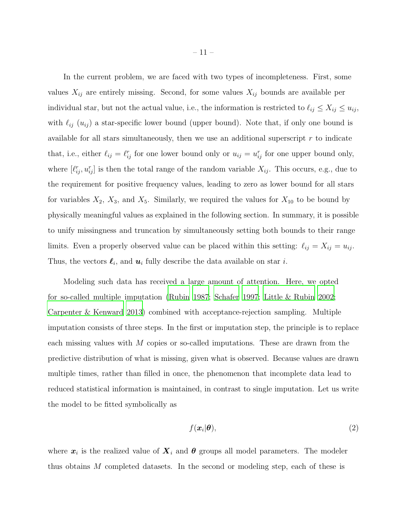In the current problem, we are faced with two types of incompleteness. First, some values  $X_{ij}$  are entirely missing. Second, for some values  $X_{ij}$  bounds are available per individual star, but not the actual value, i.e., the information is restricted to  $\ell_{ij} \leq X_{ij} \leq u_{ij}$ , with  $\ell_{ij}$  ( $u_{ij}$ ) a star-specific lower bound (upper bound). Note that, if only one bound is available for all stars simultaneously, then we use an additional superscript  $r$  to indicate that, i.e., either  $\ell_{ij} = \ell_{ij}^r$  for one lower bound only or  $u_{ij} = u_{ij}^r$  for one upper bound only, where  $[\ell_{ij}^r, u_{ij}^r]$  is then the total range of the random variable  $X_{ij}$ . This occurs, e.g., due to the requirement for positive frequency values, leading to zero as lower bound for all stars for variables  $X_2$ ,  $X_3$ , and  $X_5$ . Similarly, we required the values for  $X_{10}$  to be bound by physically meaningful values as explained in the following section. In summary, it is possible to unify missingness and truncation by simultaneously setting both bounds to their range limits. Even a properly observed value can be placed within this setting:  $\ell_{ij} = X_{ij} = u_{ij}$ . Thus, the vectors  $\ell_i$ , and  $\mathbf{u}_i$  fully describe the data available on star *i*.

Modeling such data has received a large amount of attention. Here, we opted for so-called multiple imputation [\(Rubin 1987](#page-31-4); [Schafer 1997;](#page-31-5) [Little & Rubin 2002](#page-29-6); [Carpenter & Kenward 2013](#page-27-0)) combined with acceptance-rejection sampling. Multiple imputation consists of three steps. In the first or imputation step, the principle is to replace each missing values with  $M$  copies or so-called imputations. These are drawn from the predictive distribution of what is missing, given what is observed. Because values are drawn multiple times, rather than filled in once, the phenomenon that incomplete data lead to reduced statistical information is maintained, in contrast to single imputation. Let us write the model to be fitted symbolically as

$$
f(\boldsymbol{x}_i|\boldsymbol{\theta}),\tag{2}
$$

where  $x_i$  is the realized value of  $X_i$  and  $\theta$  groups all model parameters. The modeler thus obtains M completed datasets. In the second or modeling step, each of these is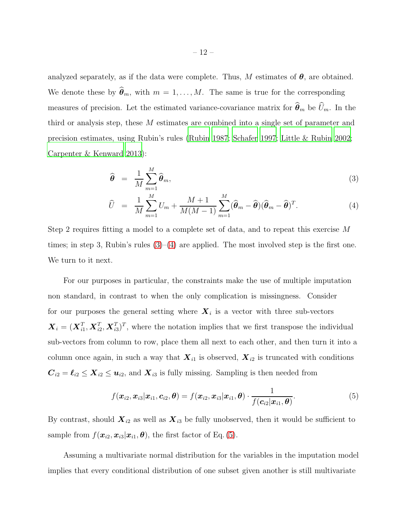analyzed separately, as if the data were complete. Thus, M estimates of  $\theta$ , are obtained. We denote these by  $\hat{\theta}_m$ , with  $m = 1, \ldots, M$ . The same is true for the corresponding measures of precision. Let the estimated variance-covariance matrix for  $\hat{\theta}_m$  be  $\widehat{U}_m$ . In the third or analysis step, these M estimates are combined into a single set of parameter and precision estimates, using Rubin's rules [\(Rubin 1987](#page-31-4); [Schafer 1997;](#page-31-5) [Little & Rubin 2002](#page-29-6); [Carpenter & Kenward 2013](#page-27-0)):

<span id="page-11-0"></span>
$$
\widehat{\boldsymbol{\theta}} = \frac{1}{M} \sum_{m=1}^{M} \widehat{\boldsymbol{\theta}}_m, \tag{3}
$$

$$
\widehat{U} = \frac{1}{M} \sum_{m=1}^{M} U_m + \frac{M+1}{M(M-1)} \sum_{m=1}^{M} (\widehat{\boldsymbol{\theta}}_m - \widehat{\boldsymbol{\theta}}) (\widehat{\boldsymbol{\theta}}_m - \widehat{\boldsymbol{\theta}})^T.
$$
\n(4)

Step 2 requires fitting a model to a complete set of data, and to repeat this exercise M times; in step 3, Rubin's rules  $(3)$ – $(4)$  are applied. The most involved step is the first one. We turn to it next.

For our purposes in particular, the constraints make the use of multiple imputation non standard, in contrast to when the only complication is missingness. Consider for our purposes the general setting where  $X_i$  is a vector with three sub-vectors  $\boldsymbol{X}_i = (\boldsymbol{X}_{i1}^T, \boldsymbol{X}_{i2}^T, \boldsymbol{X}_{i3}^T)^T$ , where the notation implies that we first transpose the individual sub-vectors from column to row, place them all next to each other, and then turn it into a column once again, in such a way that  $\mathbf{X}_{i1}$  is observed,  $\mathbf{X}_{i2}$  is truncated with conditions  $C_{i2} = \ell_{i2} \le X_{i2} \le u_{i2}$ , and  $X_{i3}$  is fully missing. Sampling is then needed from

<span id="page-11-1"></span>
$$
f(\boldsymbol{x}_{i2}, \boldsymbol{x}_{i3}|\boldsymbol{x}_{i1}, \boldsymbol{c}_{i2}, \boldsymbol{\theta}) = f(\boldsymbol{x}_{i2}, \boldsymbol{x}_{i3}|\boldsymbol{x}_{i1}, \boldsymbol{\theta}) \cdot \frac{1}{f(\boldsymbol{c}_{i2}|\boldsymbol{x}_{i1}, \boldsymbol{\theta})}.
$$
(5)

By contrast, should  $\mathbf{X}_{i2}$  as well as  $\mathbf{X}_{i3}$  be fully unobserved, then it would be sufficient to sample from  $f(\mathbf{x}_{i2}, \mathbf{x}_{i3}|\mathbf{x}_{i1}, \boldsymbol{\theta})$ , the first factor of Eq. [\(5\)](#page-11-1).

Assuming a multivariate normal distribution for the variables in the imputation model implies that every conditional distribution of one subset given another is still multivariate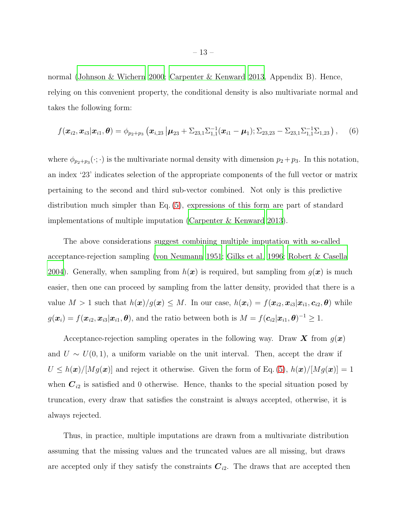normal [\(Johnson & Wichern 2000](#page-28-4); [Carpenter & Kenward 2013,](#page-27-0) Appendix B). Hence, relying on this convenient property, the conditional density is also multivariate normal and takes the following form:

$$
f(\boldsymbol{x}_{i2},\boldsymbol{x}_{i3}|\boldsymbol{x}_{i1},\boldsymbol{\theta})=\phi_{p_2+p_3}\left(\boldsymbol{x}_{i,23}\left|\boldsymbol{\mu}_{23}+\Sigma_{23,1}\Sigma_{1,1}^{-1}(\boldsymbol{x}_{i1}-\boldsymbol{\mu}_1);\Sigma_{23,23}-\Sigma_{23,1}\Sigma_{1,1}^{-1}\Sigma_{1,23}\right),\quad (6)
$$

where  $\phi_{p_2+p_3}(\cdot;\cdot)$  is the multivariate normal density with dimension  $p_2+p_3$ . In this notation, an index '23' indicates selection of the appropriate components of the full vector or matrix pertaining to the second and third sub-vector combined. Not only is this predictive distribution much simpler than Eq. [\(5\)](#page-11-1), expressions of this form are part of standard implementations of multiple imputation [\(Carpenter & Kenward 2013\)](#page-27-0).

The above considerations suggest combining multiple imputation with so-called acceptance-rejection sampling [\(von Neumann 1951;](#page-32-4) [Gilks et al. 1996](#page-27-2); [Robert & Casella](#page-31-6) [2004\)](#page-31-6). Generally, when sampling from  $h(x)$  is required, but sampling from  $g(x)$  is much easier, then one can proceed by sampling from the latter density, provided that there is a value  $M > 1$  such that  $h(x)/g(x) \leq M$ . In our case,  $h(x_i) = f(x_{i2}, x_{i3}|x_{i1}, c_{i2}, \theta)$  while  $g(\boldsymbol{x}_i) = f(\boldsymbol{x}_{i2}, \boldsymbol{x}_{i3}|\boldsymbol{x}_{i1}, \boldsymbol{\theta})$ , and the ratio between both is  $M = f(\boldsymbol{c}_{i2}|\boldsymbol{x}_{i1}, \boldsymbol{\theta})^{-1} \geq 1$ .

Acceptance-rejection sampling operates in the following way. Draw X from  $g(x)$ and  $U \sim U(0, 1)$ , a uniform variable on the unit interval. Then, accept the draw if  $U \leq h(\boldsymbol{x})/[Mg(\boldsymbol{x})]$  and reject it otherwise. Given the form of Eq. [\(5\)](#page-11-1),  $h(\boldsymbol{x})/[Mg(\boldsymbol{x})] = 1$ when  $C_{i2}$  is satisfied and 0 otherwise. Hence, thanks to the special situation posed by truncation, every draw that satisfies the constraint is always accepted, otherwise, it is always rejected.

Thus, in practice, multiple imputations are drawn from a multivariate distribution assuming that the missing values and the truncated values are all missing, but draws are accepted only if they satisfy the constraints  $C_{i2}$ . The draws that are accepted then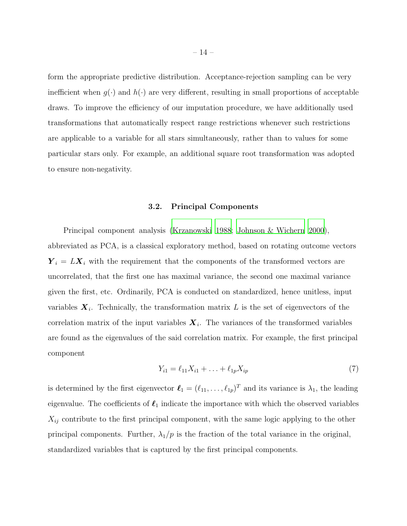form the appropriate predictive distribution. Acceptance-rejection sampling can be very inefficient when  $q(\cdot)$  and  $h(\cdot)$  are very different, resulting in small proportions of acceptable draws. To improve the efficiency of our imputation procedure, we have additionally used transformations that automatically respect range restrictions whenever such restrictions are applicable to a variable for all stars simultaneously, rather than to values for some particular stars only. For example, an additional square root transformation was adopted to ensure non-negativity.

#### 3.2. Principal Components

<span id="page-13-0"></span>Principal component analysis [\(Krzanowski 1988](#page-29-7); [Johnson & Wichern 2000\)](#page-28-4), abbreviated as PCA, is a classical exploratory method, based on rotating outcome vectors  $Y_i = LX_i$  with the requirement that the components of the transformed vectors are uncorrelated, that the first one has maximal variance, the second one maximal variance given the first, etc. Ordinarily, PCA is conducted on standardized, hence unitless, input variables  $X_i$ . Technically, the transformation matrix L is the set of eigenvectors of the correlation matrix of the input variables  $X_i$ . The variances of the transformed variables are found as the eigenvalues of the said correlation matrix. For example, the first principal component

$$
Y_{i1} = \ell_{11} X_{i1} + \ldots + \ell_{1p} X_{ip} \tag{7}
$$

is determined by the first eigenvector  $\ell_1 = (\ell_{11}, \ldots, \ell_{1p})^T$  and its variance is  $\lambda_1$ , the leading eigenvalue. The coefficients of  $\ell_1$  indicate the importance with which the observed variables  $X_{ij}$  contribute to the first principal component, with the same logic applying to the other principal components. Further,  $\lambda_1/p$  is the fraction of the total variance in the original, standardized variables that is captured by the first principal components.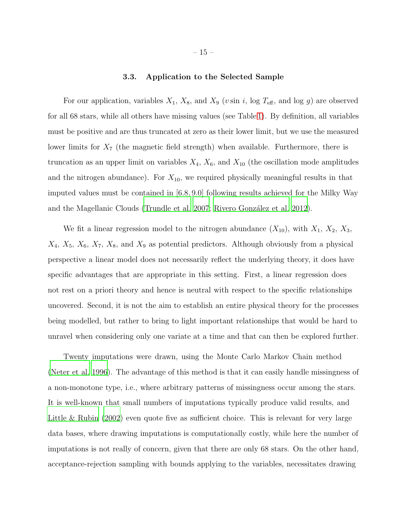# 3.3. Application to the Selected Sample

For our application, variables  $X_1$ ,  $X_8$ , and  $X_9$  (*v* sin *i*, log  $T_{\text{eff}}$ , and log *g*) are observed for all 68 stars, while all others have missing values (see Table [1\)](#page-8-0). By definition, all variables must be positive and are thus truncated at zero as their lower limit, but we use the measured lower limits for  $X_7$  (the magnetic field strength) when available. Furthermore, there is truncation as an upper limit on variables  $X_4$ ,  $X_6$ , and  $X_{10}$  (the oscillation mode amplitudes and the nitrogen abundance). For  $X_{10}$ , we required physically meaningful results in that imputed values must be contained in [6.8, 9.0] following results achieved for the Milky Way and the Magellanic Clouds [\(Trundle et al. 2007;](#page-32-5) Rivero González et al. [2012\)](#page-31-1).

We fit a linear regression model to the nitrogen abundance  $(X_{10})$ , with  $X_1, X_2, X_3$ ,  $X_4$ ,  $X_5$ ,  $X_6$ ,  $X_7$ ,  $X_8$ , and  $X_9$  as potential predictors. Although obviously from a physical perspective a linear model does not necessarily reflect the underlying theory, it does have specific advantages that are appropriate in this setting. First, a linear regression does not rest on a priori theory and hence is neutral with respect to the specific relationships uncovered. Second, it is not the aim to establish an entire physical theory for the processes being modelled, but rather to bring to light important relationships that would be hard to unravel when considering only one variate at a time and that can then be explored further.

Twenty imputations were drawn, using the Monte Carlo Markov Chain method [\(Neter et al. 1996\)](#page-30-6). The advantage of this method is that it can easily handle missingness of a non-monotone type, i.e., where arbitrary patterns of missingness occur among the stars. It is well-known that small numbers of imputations typically produce valid results, and [Little & Rubin \(2002\)](#page-29-6) even quote five as sufficient choice. This is relevant for very large data bases, where drawing imputations is computationally costly, while here the number of imputations is not really of concern, given that there are only 68 stars. On the other hand, acceptance-rejection sampling with bounds applying to the variables, necessitates drawing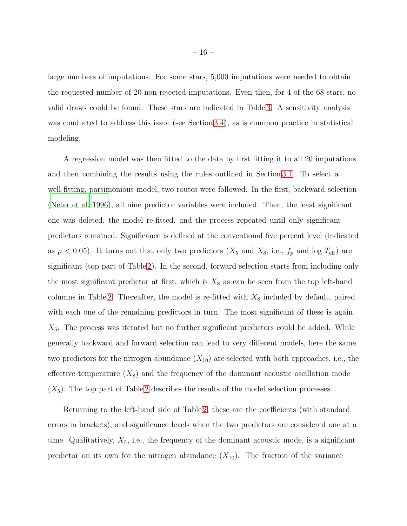large numbers of imputations. For some stars, 5,000 imputations were needed to obtain the requested number of 20 non-rejected imputations. Even then, for 4 of the 68 stars, no valid draws could be found. These stars are indicated in Table [3.](#page-40-0) A sensitivity analysis was conducted to address this issue (see Section [3.4\)](#page-20-0), as is common practice in statistical modeling.

A regression model was then fitted to the data by first fitting it to all 20 imputations and then combining the results using the rules outlined in Section [3.1.](#page-9-0) To select a well-fitting, parsimonious model, two routes were followed. In the first, backward selection [\(Neter et al. 1996\)](#page-30-6), all nine predictor variables were included. Then, the least significant one was deleted, the model re-fitted, and the process repeated until only significant predictors remained. Significance is defined at the conventional five percent level (indicated as  $p < 0.05$ ). It turns out that only two predictors  $(X_5 \text{ and } X_8 \text{, i.e., } f_p \text{ and log } T_{\text{eff}})$  are significant (top part of Table [2\)](#page-21-0). In the second, forward selection starts from including only the most significant predictor at first, which is  $X_8$  as can be seen from the top left-hand columns in Table [2.](#page-21-0) Thereafter, the model is re-fitted with  $X_8$  included by default, paired with each one of the remaining predictors in turn. The most significant of these is again  $X_5$ . The process was iterated but no further significant predictors could be added. While generally backward and forward selection can lead to very different models, here the same two predictors for the nitrogen abundance  $(X_{10})$  are selected with both approaches, i.e., the effective temperature  $(X_8)$  and the frequency of the dominant acoustic oscillation mode  $(X<sub>5</sub>)$ . The top part of Table [2](#page-21-0) describes the results of the model selection processes.

Returning to the left-hand side of Table [2,](#page-21-0) these are the coefficients (with standard errors in brackets), and significance levels when the two predictors are considered one at a time. Qualitatively,  $X_5$ , i.e., the frequency of the dominant acoustic mode, is a significant predictor on its own for the nitrogen abundance  $(X_{10})$ . The fraction of the variance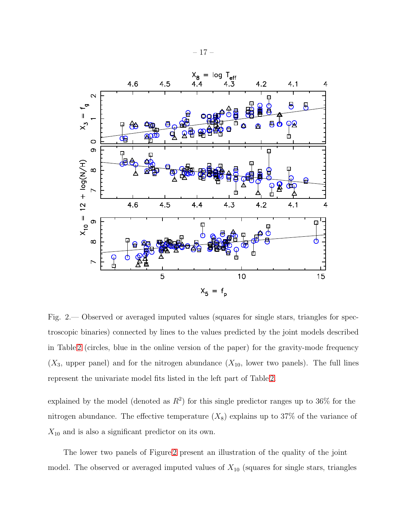

<span id="page-16-0"></span>Fig. 2.— Observed or averaged imputed values (squares for single stars, triangles for spectroscopic binaries) connected by lines to the values predicted by the joint models described in Table [2](#page-21-0) (circles, blue in the online version of the paper) for the gravity-mode frequency  $(X_3,$  upper panel) and for the nitrogen abundance  $(X_{10},$  lower two panels). The full lines represent the univariate model fits listed in the left part of Table [2.](#page-21-0)

explained by the model (denoted as  $R^2$ ) for this single predictor ranges up to 36% for the nitrogen abundance. The effective temperature  $(X_8)$  explains up to 37% of the variance of  $X_{10}$  and is also a significant predictor on its own.

The lower two panels of Figure [2](#page-16-0) present an illustration of the quality of the joint model. The observed or averaged imputed values of  $X_{10}$  (squares for single stars, triangles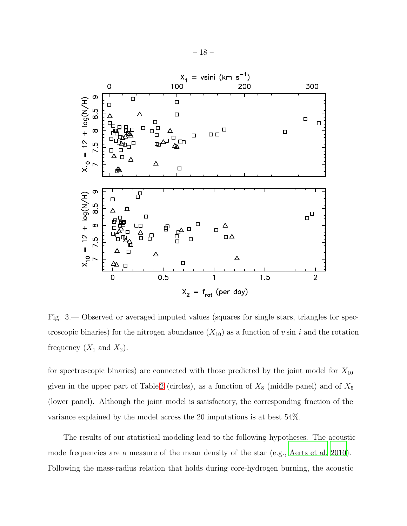

<span id="page-17-0"></span>Fig. 3.— Observed or averaged imputed values (squares for single stars, triangles for spectroscopic binaries) for the nitrogen abundance  $(X_{10})$  as a function of v sin i and the rotation frequency  $(X_1 \text{ and } X_2)$ .

for spectroscopic binaries) are connected with those predicted by the joint model for  $X_{10}$ given in the upper part of Table [2](#page-21-0) (circles), as a function of  $X_8$  (middle panel) and of  $X_5$ (lower panel). Although the joint model is satisfactory, the corresponding fraction of the variance explained by the model across the 20 imputations is at best 54%.

The results of our statistical modeling lead to the following hypotheses. The acoustic mode frequencies are a measure of the mean density of the star (e.g., [Aerts et al. 2010](#page-25-0)). Following the mass-radius relation that holds during core-hydrogen burning, the acoustic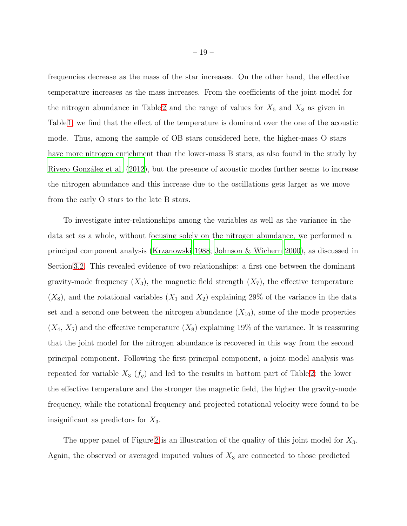frequencies decrease as the mass of the star increases. On the other hand, the effective temperature increases as the mass increases. From the coefficients of the joint model for the nitrogen abundance in Table [2](#page-21-0) and the range of values for  $X_5$  and  $X_8$  as given in Table [1,](#page-8-0) we find that the effect of the temperature is dominant over the one of the acoustic mode. Thus, among the sample of OB stars considered here, the higher-mass O stars have more nitrogen enrichment than the lower-mass B stars, as also found in the study by Rivero González et al. (2012), but the presence of acoustic modes further seems to increase the nitrogen abundance and this increase due to the oscillations gets larger as we move from the early O stars to the late B stars.

To investigate inter-relationships among the variables as well as the variance in the data set as a whole, without focusing solely on the nitrogen abundance, we performed a principal component analysis [\(Krzanowski 1988;](#page-29-7) [Johnson & Wichern 2000](#page-28-4)), as discussed in Section [3.2.](#page-13-0) This revealed evidence of two relationships: a first one between the dominant gravity-mode frequency  $(X_3)$ , the magnetic field strength  $(X_7)$ , the effective temperature  $(X_8)$ , and the rotational variables  $(X_1 \text{ and } X_2)$  explaining 29% of the variance in the data set and a second one between the nitrogen abundance  $(X_{10})$ , some of the mode properties  $(X_4, X_5)$  and the effective temperature  $(X_8)$  explaining 19% of the variance. It is reassuring that the joint model for the nitrogen abundance is recovered in this way from the second principal component. Following the first principal component, a joint model analysis was repeated for variable  $X_3$   $(f_g)$  and led to the results in bottom part of Table [2:](#page-21-0) the lower the effective temperature and the stronger the magnetic field, the higher the gravity-mode frequency, while the rotational frequency and projected rotational velocity were found to be insignificant as predictors for  $X_3$ .

The upper panel of Figure [2](#page-16-0) is an illustration of the quality of this joint model for  $X_3$ . Again, the observed or averaged imputed values of  $X_3$  are connected to those predicted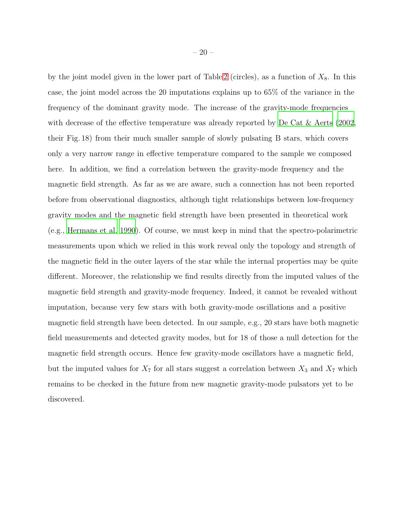by the joint model given in the lower part of Table [2](#page-21-0) (circles), as a function of  $X_8$ . In this case, the joint model across the 20 imputations explains up to 65% of the variance in the frequency of the dominant gravity mode. The increase of the gravity-mode frequencies with decrease of the effective temperature was already reported by [De Cat & Aerts \(2002,](#page-27-3) their Fig. 18) from their much smaller sample of slowly pulsating B stars, which covers only a very narrow range in effective temperature compared to the sample we composed here. In addition, we find a correlation between the gravity-mode frequency and the magnetic field strength. As far as we are aware, such a connection has not been reported before from observational diagnostics, although tight relationships between low-frequency gravity modes and the magnetic field strength have been presented in theoretical work (e.g., [Hermans et al. 1990\)](#page-28-5). Of course, we must keep in mind that the spectro-polarimetric measurements upon which we relied in this work reveal only the topology and strength of the magnetic field in the outer layers of the star while the internal properties may be quite different. Moreover, the relationship we find results directly from the imputed values of the magnetic field strength and gravity-mode frequency. Indeed, it cannot be revealed without imputation, because very few stars with both gravity-mode oscillations and a positive magnetic field strength have been detected. In our sample, e.g., 20 stars have both magnetic field measurements and detected gravity modes, but for 18 of those a null detection for the magnetic field strength occurs. Hence few gravity-mode oscillators have a magnetic field, but the imputed values for  $X_7$  for all stars suggest a correlation between  $X_3$  and  $X_7$  which remains to be checked in the future from new magnetic gravity-mode pulsators yet to be discovered.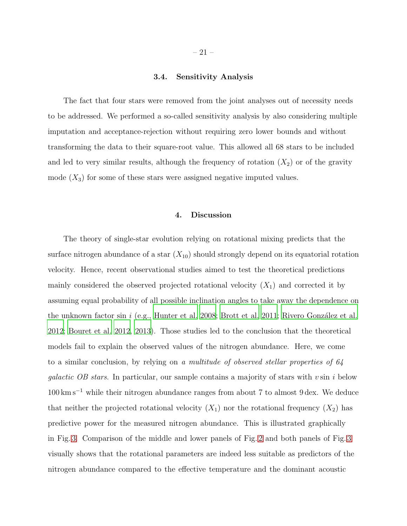# 3.4. Sensitivity Analysis

<span id="page-20-0"></span>The fact that four stars were removed from the joint analyses out of necessity needs to be addressed. We performed a so-called sensitivity analysis by also considering multiple imputation and acceptance-rejection without requiring zero lower bounds and without transforming the data to their square-root value. This allowed all 68 stars to be included and led to very similar results, although the frequency of rotation  $(X_2)$  or of the gravity mode  $(X_3)$  for some of these stars were assigned negative imputed values.

# 4. Discussion

The theory of single-star evolution relying on rotational mixing predicts that the surface nitrogen abundance of a star  $(X_{10})$  should strongly depend on its equatorial rotation velocity. Hence, recent observational studies aimed to test the theoretical predictions mainly considered the observed projected rotational velocity  $(X_1)$  and corrected it by assuming equal probability of all possible inclination angles to take away the dependence on the unknown factor sin i (e.g., [Hunter et al. 2008;](#page-28-1) [Brott et al. 2011](#page-26-0); Rivero González et al. [2012;](#page-31-1) [Bouret et al. 2012,](#page-26-1) [2013\)](#page-26-2). Those studies led to the conclusion that the theoretical models fail to explain the observed values of the nitrogen abundance. Here, we come to a similar conclusion, by relying on a multitude of observed stellar properties of 64 *galactic OB stars.* In particular, our sample contains a majority of stars with  $v \sin i$  below  $100\,{\rm km\,s^{-1}}$  while their nitrogen abundance ranges from about 7 to almost 9 dex. We deduce that neither the projected rotational velocity  $(X_1)$  nor the rotational frequency  $(X_2)$  has predictive power for the measured nitrogen abundance. This is illustrated graphically in Fig. [3.](#page-17-0) Comparison of the middle and lower panels of Fig. [2](#page-16-0) and both panels of Fig. [3](#page-17-0) visually shows that the rotational parameters are indeed less suitable as predictors of the nitrogen abundance compared to the effective temperature and the dominant acoustic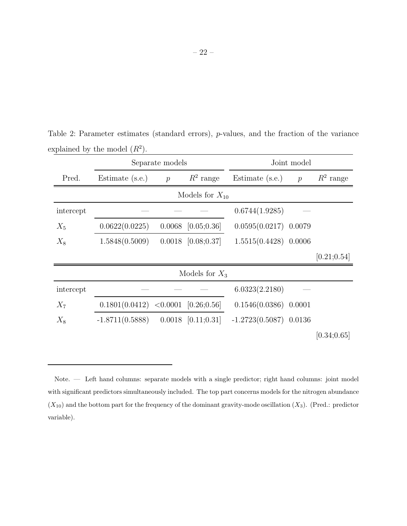<span id="page-21-0"></span>

|           |                     | Separate models |                        |                          | Joint model    |              |  |  |  |  |
|-----------|---------------------|-----------------|------------------------|--------------------------|----------------|--------------|--|--|--|--|
| Pred.     | Estimate (s.e.)     | $\overline{p}$  | $R^2$ range            | Estimate (s.e.)          | $\overline{p}$ | $R^2$ range  |  |  |  |  |
|           | Models for $X_{10}$ |                 |                        |                          |                |              |  |  |  |  |
| intercept |                     |                 |                        | 0.6744(1.9285)           |                |              |  |  |  |  |
| $X_5$     | 0.0622(0.0225)      |                 | $0.0068$ [0.05;0.36]   | $0.0595(0.0217)$ 0.0079  |                |              |  |  |  |  |
| $X_8$     | 1.5848(0.5009)      |                 | $0.0018$ [0.08;0.37]   | $1.5515(0.4428)$ 0.0006  |                |              |  |  |  |  |
|           |                     |                 |                        |                          |                | [0.21; 0.54] |  |  |  |  |
|           |                     |                 | Models for $X_3$       |                          |                |              |  |  |  |  |
| intercept |                     |                 |                        | 6.0323(2.2180)           |                |              |  |  |  |  |
| $X_7$     | 0.1801(0.0412)      |                 | $< 0.0001$ [0.26;0.56] | $0.1546(0.0386)$ 0.0001  |                |              |  |  |  |  |
| $X_8$     | $-1.8711(0.5888)$   |                 | $0.0018$ [0.11;0.31]   | $-1.2723(0.5087)$ 0.0136 |                |              |  |  |  |  |
|           |                     |                 |                        |                          |                | [0.34; 0.65] |  |  |  |  |

Table 2: Parameter estimates (standard errors), p-values, and the fraction of the variance explained by the model  $(R^2)$ .

Note. — Left hand columns: separate models with a single predictor; right hand columns: joint model with significant predictors simultaneously included. The top part concerns models for the nitrogen abundance  $(X_{10})$  and the bottom part for the frequency of the dominant gravity-mode oscillation  $(X_3)$ . (Pred.: predictor variable).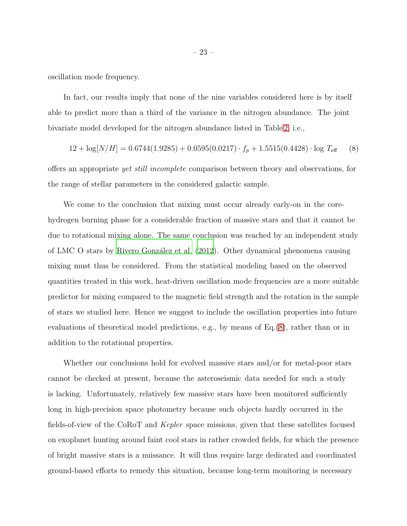oscillation mode frequency.

In fact, our results imply that none of the nine variables considered here is by itself able to predict more than a third of the variance in the nitrogen abundance. The joint bivariate model developed for the nitrogen abundance listed in Table [2,](#page-21-0) i.e.,

<span id="page-22-0"></span>
$$
12 + \log[N/H] = 0.6744(1.9285) + 0.0595(0.0217) \cdot f_p + 1.5515(0.4428) \cdot \log T_{\text{eff}} \tag{8}
$$

offers an appropriate yet still incomplete comparison between theory and observations, for the range of stellar parameters in the considered galactic sample.

We come to the conclusion that mixing must occur already early-on in the corehydrogen burning phase for a considerable fraction of massive stars and that it cannot be due to rotational mixing alone. The same conclusion was reached by an independent study of LMC O stars by [Rivero Gonz´alez et al. \(2012\)](#page-31-1). Other dynamical phenomena causing mixing must thus be considered. From the statistical modeling based on the observed quantities treated in this work, heat-driven oscillation mode frequencies are a more suitable predictor for mixing compared to the magnetic field strength and the rotation in the sample of stars we studied here. Hence we suggest to include the oscillation properties into future evaluations of theoretical model predictions, e.g., by means of Eq.[\(8\)](#page-22-0), rather than or in addition to the rotational properties.

Whether our conclusions hold for evolved massive stars and/or for metal-poor stars cannot be checked at present, because the asteroseismic data needed for such a study is lacking. Unfortunately, relatively few massive stars have been monitored sufficiently long in high-precision space photometry because such objects hardly occurred in the fields-of-view of the CoRoT and Kepler space missions, given that these satellites focused on exoplanet hunting around faint cool stars in rather crowded fields, for which the presence of bright massive stars is a nuissance. It will thus require large dedicated and coordinated ground-based efforts to remedy this situation, because long-term monitoring is necessary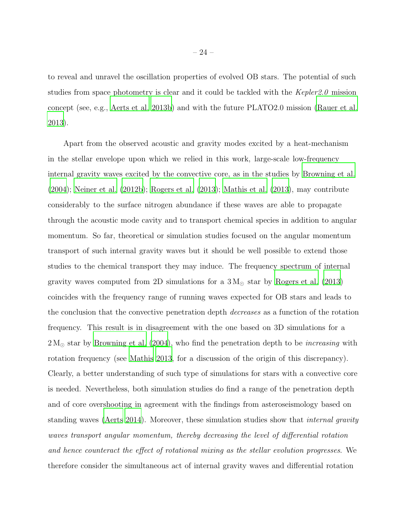to reveal and unravel the oscillation properties of evolved OB stars. The potential of such studies from space photometry is clear and it could be tackled with the  $Kepler2.0$  mission concept (see, e.g., [Aerts et al. 2013b](#page-25-5)) and with the future PLATO2.0 mission [\(Rauer et al.](#page-31-7) [2013\)](#page-31-7).

Apart from the observed acoustic and gravity modes excited by a heat-mechanism in the stellar envelope upon which we relied in this work, large-scale low-frequency internal gravity waves excited by the convective core, as in the studies by [Browning et al.](#page-26-4) [\(2004\)](#page-26-4); [Neiner et al. \(2012b\)](#page-30-7); [Rogers et al. \(2013](#page-31-8)); [Mathis et al. \(2013](#page-29-3)), may contribute considerably to the surface nitrogen abundance if these waves are able to propagate through the acoustic mode cavity and to transport chemical species in addition to angular momentum. So far, theoretical or simulation studies focused on the angular momentum transport of such internal gravity waves but it should be well possible to extend those studies to the chemical transport they may induce. The frequency spectrum of internal gravity waves computed from 2D simulations for a  $3 M_{\odot}$  star by [Rogers et al. \(2013\)](#page-31-8) coincides with the frequency range of running waves expected for OB stars and leads to the conclusion that the convective penetration depth decreases as a function of the rotation frequency. This result is in disagreement with the one based on 3D simulations for a  $2 M_{\odot}$  star by [Browning et al. \(2004](#page-26-4)), who find the penetration depth to be *increasing* with rotation frequency (see [Mathis 2013,](#page-29-8) for a discussion of the origin of this discrepancy). Clearly, a better understanding of such type of simulations for stars with a convective core is needed. Nevertheless, both simulation studies do find a range of the penetration depth and of core overshooting in agreement with the findings from asteroseismology based on standing waves [\(Aerts 2014\)](#page-25-3). Moreover, these simulation studies show that internal gravity waves transport angular momentum, thereby decreasing the level of differential rotation and hence counteract the effect of rotational mixing as the stellar evolution progresses. We therefore consider the simultaneous act of internal gravity waves and differential rotation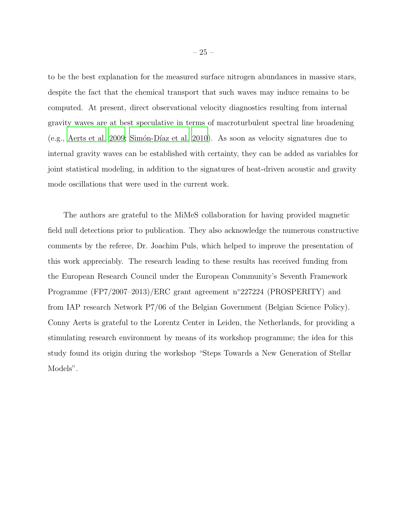to be the best explanation for the measured surface nitrogen abundances in massive stars, despite the fact that the chemical transport that such waves may induce remains to be computed. At present, direct observational velocity diagnostics resulting from internal gravity waves are at best speculative in terms of macroturbulent spectral line broadening (e.g., [Aerts et al. 2009;](#page-25-6) Simón-Díaz et al. 2010). As soon as velocity signatures due to internal gravity waves can be established with certainty, they can be added as variables for joint statistical modeling, in addition to the signatures of heat-driven acoustic and gravity mode oscillations that were used in the current work.

The authors are grateful to the MiMeS collaboration for having provided magnetic field null detections prior to publication. They also acknowledge the numerous constructive comments by the referee, Dr. Joachim Puls, which helped to improve the presentation of this work appreciably. The research leading to these results has received funding from the European Research Council under the European Community's Seventh Framework Programme (FP7/2007–2013)/ERC grant agreement n◦227224 (PROSPERITY) and from IAP research Network P7/06 of the Belgian Government (Belgian Science Policy). Conny Aerts is grateful to the Lorentz Center in Leiden, the Netherlands, for providing a stimulating research environment by means of its workshop programme; the idea for this study found its origin during the workshop "Steps Towards a New Generation of Stellar Models".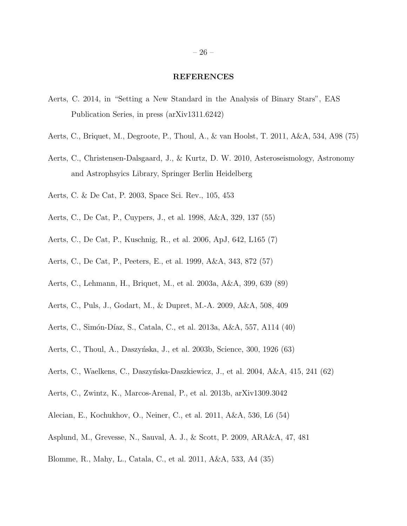#### REFERENCES

- <span id="page-25-3"></span>Aerts, C. 2014, in "Setting a New Standard in the Analysis of Binary Stars", EAS Publication Series, in press (arXiv1311.6242)
- <span id="page-25-14"></span>Aerts, C., Briquet, M., Degroote, P., Thoul, A., & van Hoolst, T. 2011, A&A, 534, A98 (75)
- <span id="page-25-0"></span>Aerts, C., Christensen-Dalsgaard, J., & Kurtz, D. W. 2010, Asteroseismology, Astronomy and Astrophsyics Library, Springer Berlin Heidelberg
- <span id="page-25-1"></span>Aerts, C. & De Cat, P. 2003, Space Sci. Rev., 105, 453
- <span id="page-25-10"></span>Aerts, C., De Cat, P., Cuypers, J., et al. 1998, A&A, 329, 137 (55)
- <span id="page-25-7"></span>Aerts, C., De Cat, P., Kuschnig, R., et al. 2006, ApJ, 642, L165 (7)
- <span id="page-25-11"></span>Aerts, C., De Cat, P., Peeters, E., et al. 1999, A&A, 343, 872 (57)
- <span id="page-25-15"></span>Aerts, C., Lehmann, H., Briquet, M., et al. 2003a, A&A, 399, 639 (89)
- <span id="page-25-6"></span>Aerts, C., Puls, J., Godart, M., & Dupret, M.-A. 2009, A&A, 508, 409
- <span id="page-25-4"></span>Aerts, C., Simón-Díaz, S., Catala, C., et al. 2013a, A&A, 557, A114 (40)
- <span id="page-25-13"></span>Aerts, C., Thoul, A., Daszyńska, J., et al. 2003b, Science, 300, 1926 (63)
- <span id="page-25-12"></span>Aerts, C., Waelkens, C., Daszyńska-Daszkiewicz, J., et al. 2004, A&A, 415, 241 (62)
- <span id="page-25-5"></span>Aerts, C., Zwintz, K., Marcos-Arenal, P., et al. 2013b, arXiv1309.3042
- <span id="page-25-9"></span>Alecian, E., Kochukhov, O., Neiner, C., et al. 2011, A&A, 536, L6 (54)
- <span id="page-25-2"></span>Asplund, M., Grevesse, N., Sauval, A. J., & Scott, P. 2009, ARA&A, 47, 481
- <span id="page-25-8"></span>Blomme, R., Mahy, L., Catala, C., et al. 2011, A&A, 533, A4 (35)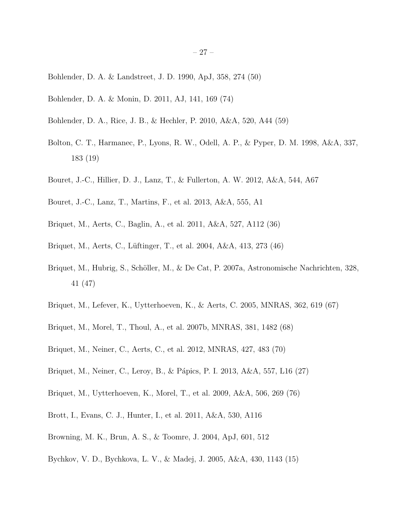- <span id="page-26-10"></span>Bohlender, D. A. & Landstreet, J. D. 1990, ApJ, 358, 274 (50)
- <span id="page-26-15"></span>Bohlender, D. A. & Monin, D. 2011, AJ, 141, 169 (74)
- <span id="page-26-11"></span>Bohlender, D. A., Rice, J. B., & Hechler, P. 2010, A&A, 520, A44 (59)
- <span id="page-26-6"></span>Bolton, C. T., Harmanec, P., Lyons, R. W., Odell, A. P., & Pyper, D. M. 1998, A&A, 337, 183 (19)
- <span id="page-26-1"></span>Bouret, J.-C., Hillier, D. J., Lanz, T., & Fullerton, A. W. 2012, A&A, 544, A67
- <span id="page-26-2"></span>Bouret, J.-C., Lanz, T., Martins, F., et al. 2013, A&A, 555, A1
- <span id="page-26-7"></span>Briquet, M., Aerts, C., Baglin, A., et al. 2011, A&A, 527, A112 (36)
- <span id="page-26-8"></span>Briquet, M., Aerts, C., Lüftinger, T., et al. 2004, A&A, 413, 273 (46)
- <span id="page-26-9"></span>Briquet, M., Hubrig, S., Schöller, M., & De Cat, P. 2007a, Astronomische Nachrichten, 328, 41 (47)
- <span id="page-26-12"></span>Briquet, M., Lefever, K., Uytterhoeven, K., & Aerts, C. 2005, MNRAS, 362, 619 (67)
- <span id="page-26-13"></span>Briquet, M., Morel, T., Thoul, A., et al. 2007b, MNRAS, 381, 1482 (68)
- <span id="page-26-14"></span>Briquet, M., Neiner, C., Aerts, C., et al. 2012, MNRAS, 427, 483 (70)
- <span id="page-26-3"></span>Briquet, M., Neiner, C., Leroy, B., & Pápics, P. I. 2013, A&A, 557, L16 (27)
- <span id="page-26-16"></span>Briquet, M., Uytterhoeven, K., Morel, T., et al. 2009, A&A, 506, 269 (76)
- <span id="page-26-0"></span>Brott, I., Evans, C. J., Hunter, I., et al. 2011, A&A, 530, A116
- <span id="page-26-4"></span>Browning, M. K., Brun, A. S., & Toomre, J. 2004, ApJ, 601, 512
- <span id="page-26-5"></span>Bychkov, V. D., Bychkova, L. V., & Madej, J. 2005, A&A, 430, 1143 (15)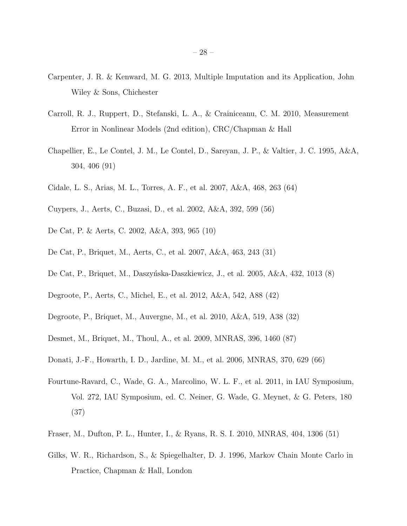- <span id="page-27-0"></span>Carpenter, J. R. & Kenward, M. G. 2013, Multiple Imputation and its Application, John Wiley & Sons, Chichester
- <span id="page-27-1"></span>Carroll, R. J., Ruppert, D., Stefanski, L. A., & Crainiceanu, C. M. 2010, Measurement Error in Nonlinear Models (2nd edition), CRC/Chapman & Hall
- <span id="page-27-14"></span>Chapellier, E., Le Contel, J. M., Le Contel, D., Sareyan, J. P., & Valtier, J. C. 1995, A&A, 304, 406 (91)
- <span id="page-27-11"></span>Cidale, L. S., Arias, M. L., Torres, A. F., et al. 2007, A&A, 468, 263 (64)
- <span id="page-27-10"></span>Cuypers, J., Aerts, C., Buzasi, D., et al. 2002, A&A, 392, 599 (56)
- <span id="page-27-3"></span>De Cat, P. & Aerts, C. 2002, A&A, 393, 965 (10)
- <span id="page-27-5"></span>De Cat, P., Briquet, M., Aerts, C., et al. 2007, A&A, 463, 243 (31)
- <span id="page-27-4"></span>De Cat, P., Briquet, M., Daszyńska-Daszkiewicz, J., et al. 2005, A&A, 432, 1013 (8)
- <span id="page-27-8"></span>Degroote, P., Aerts, C., Michel, E., et al. 2012, A&A, 542, A88 (42)
- <span id="page-27-6"></span>Degroote, P., Briquet, M., Auvergne, M., et al. 2010, A&A, 519, A38 (32)
- <span id="page-27-13"></span>Desmet, M., Briquet, M., Thoul, A., et al. 2009, MNRAS, 396, 1460 (87)
- <span id="page-27-12"></span>Donati, J.-F., Howarth, I. D., Jardine, M. M., et al. 2006, MNRAS, 370, 629 (66)
- <span id="page-27-7"></span>Fourtune-Ravard, C., Wade, G. A., Marcolino, W. L. F., et al. 2011, in IAU Symposium, Vol. 272, IAU Symposium, ed. C. Neiner, G. Wade, G. Meynet, & G. Peters, 180 (37)
- <span id="page-27-9"></span>Fraser, M., Dufton, P. L., Hunter, I., & Ryans, R. S. I. 2010, MNRAS, 404, 1306 (51)
- <span id="page-27-2"></span>Gilks, W. R., Richardson, S., & Spiegelhalter, D. J. 1996, Markov Chain Monte Carlo in Practice, Chapman & Hall, London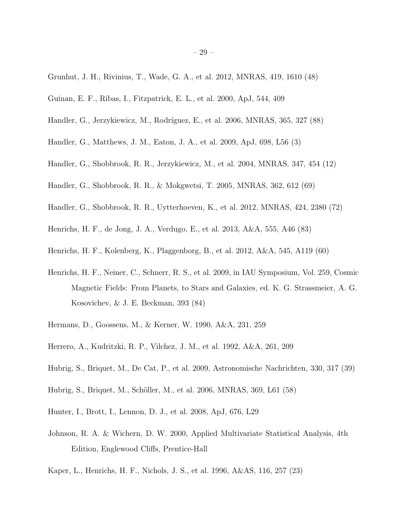- <span id="page-28-10"></span>Grunhut, J. H., Rivinius, T., Wade, G. A., et al. 2012, MNRAS, 419, 1610 (48)
- <span id="page-28-3"></span>Guinan, E. F., Ribas, I., Fitzpatrick, E. L., et al. 2000, ApJ, 544, 409
- <span id="page-28-16"></span>Handler, G., Jerzykiewicz, M., Rodríguez, E., et al. 2006, MNRAS, 365, 327 (88)
- <span id="page-28-6"></span>Handler, G., Matthews, J. M., Eaton, J. A., et al. 2009, ApJ, 698, L56 (3)
- <span id="page-28-7"></span>Handler, G., Shobbrook, R. R., Jerzykiewicz, M., et al. 2004, MNRAS, 347, 454 (12)
- <span id="page-28-12"></span>Handler, G., Shobbrook, R. R., & Mokgwetsi, T. 2005, MNRAS, 362, 612 (69)
- <span id="page-28-13"></span>Handler, G., Shobbrook, R. R., Uytterhoeven, K., et al. 2012, MNRAS, 424, 2380 (72)
- <span id="page-28-14"></span>Henrichs, H. F., de Jong, J. A., Verdugo, E., et al. 2013, A&A, 555, A46 (83)
- <span id="page-28-11"></span>Henrichs, H. F., Kolenberg, K., Plaggenborg, B., et al. 2012, A&A, 545, A119 (60)
- <span id="page-28-15"></span>Henrichs, H. F., Neiner, C., Schnerr, R. S., et al. 2009, in IAU Symposium, Vol. 259, Cosmic Magnetic Fields: From Planets, to Stars and Galaxies, ed. K. G. Strassmeier, A. G. Kosovichev, & J. E. Beckman, 393 (84)
- <span id="page-28-5"></span>Hermans, D., Goossens, M., & Kerner, W. 1990, A&A, 231, 259
- <span id="page-28-0"></span>Herrero, A., Kudritzki, R. P., Vilchez, J. M., et al. 1992, A&A, 261, 209
- <span id="page-28-9"></span>Hubrig, S., Briquet, M., De Cat, P., et al. 2009, Astronomische Nachrichten, 330, 317 (39)
- <span id="page-28-2"></span>Hubrig, S., Briquet, M., Schöller, M., et al. 2006, MNRAS, 369, L61 (58)
- <span id="page-28-1"></span>Hunter, I., Brott, I., Lennon, D. J., et al. 2008, ApJ, 676, L29
- <span id="page-28-4"></span>Johnson, R. A. & Wichern, D. W. 2000, Applied Multivariate Statistical Analysis, 4th Edition, Englewood Cliffs, Prentice-Hall
- <span id="page-28-8"></span>Kaper, L., Henrichs, H. F., Nichols, J. S., et al. 1996, A&AS, 116, 257 (23)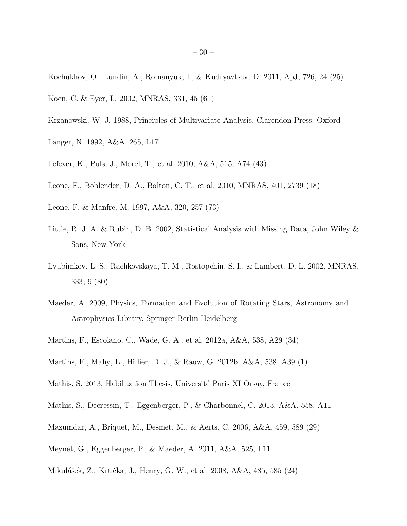- <span id="page-29-11"></span>Kochukhov, O., Lundin, A., Romanyuk, I., & Kudryavtsev, D. 2011, ApJ, 726, 24 (25)
- <span id="page-29-14"></span>Koen, C. & Eyer, L. 2002, MNRAS, 331, 45 (61)
- <span id="page-29-7"></span>Krzanowski, W. J. 1988, Principles of Multivariate Analysis, Clarendon Press, Oxford
- <span id="page-29-0"></span>Langer, N. 1992, A&A, 265, L17
- <span id="page-29-13"></span>Lefever, K., Puls, J., Morel, T., et al. 2010, A&A, 515, A74 (43)
- <span id="page-29-9"></span>Leone, F., Bohlender, D. A., Bolton, C. T., et al. 2010, MNRAS, 401, 2739 (18)
- <span id="page-29-15"></span>Leone, F. & Manfre, M. 1997, A&A, 320, 257 (73)
- <span id="page-29-6"></span>Little, R. J. A. & Rubin, D. B. 2002, Statistical Analysis with Missing Data, John Wiley & Sons, New York
- <span id="page-29-16"></span>Lyubimkov, L. S., Rachkovskaya, T. M., Rostopchin, S. I., & Lambert, D. L. 2002, MNRAS, 333, 9 (80)
- <span id="page-29-1"></span>Maeder, A. 2009, Physics, Formation and Evolution of Rotating Stars, Astronomy and Astrophysics Library, Springer Berlin Heidelberg
- <span id="page-29-4"></span>Martins, F., Escolano, C., Wade, G. A., et al. 2012a, A&A, 538, A29 (34)
- <span id="page-29-5"></span>Martins, F., Mahy, L., Hillier, D. J., & Rauw, G. 2012b, A&A, 538, A39 (1)
- <span id="page-29-8"></span>Mathis, S. 2013, Habilitation Thesis, Université Paris XI Orsay, France
- <span id="page-29-3"></span>Mathis, S., Decressin, T., Eggenberger, P., & Charbonnel, C. 2013, A&A, 558, A11
- <span id="page-29-12"></span>Mazumdar, A., Briquet, M., Desmet, M., & Aerts, C. 2006, A&A, 459, 589 (29)
- <span id="page-29-2"></span>Meynet, G., Eggenberger, P., & Maeder, A. 2011, A&A, 525, L11
- <span id="page-29-10"></span>Mikulášek, Z., Krtička, J., Henry, G. W., et al. 2008, A&A, 485, 585 (24)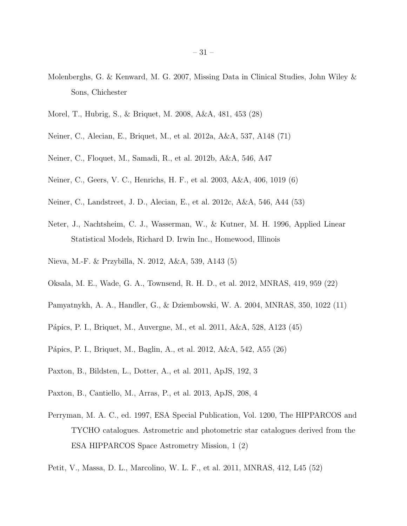- <span id="page-30-5"></span>Molenberghs, G. & Kenward, M. G. 2007, Missing Data in Clinical Studies, John Wiley & Sons, Chichester
- <span id="page-30-2"></span>Morel, T., Hubrig, S., & Briquet, M. 2008, A&A, 481, 453 (28)
- <span id="page-30-15"></span>Neiner, C., Alecian, E., Briquet, M., et al. 2012a, A&A, 537, A148 (71)
- <span id="page-30-7"></span>Neiner, C., Floquet, M., Samadi, R., et al. 2012b, A&A, 546, A47
- <span id="page-30-8"></span>Neiner, C., Geers, V. C., Henrichs, H. F., et al. 2003, A&A, 406, 1019 (6)
- <span id="page-30-14"></span>Neiner, C., Landstreet, J. D., Alecian, E., et al. 2012c, A&A, 546, A44 (53)
- <span id="page-30-6"></span>Neter, J., Nachtsheim, C. J., Wasserman, W., & Kutner, M. H. 1996, Applied Linear Statistical Models, Richard D. Irwin Inc., Homewood, Illinois
- <span id="page-30-1"></span>Nieva, M.-F. & Przybilla, N. 2012, A&A, 539, A143 (5)
- <span id="page-30-10"></span>Oksala, M. E., Wade, G. A., Townsend, R. H. D., et al. 2012, MNRAS, 419, 959 (22)
- <span id="page-30-9"></span>Pamyatnykh, A. A., Handler, G., & Dziembowski, W. A. 2004, MNRAS, 350, 1022 (11)
- <span id="page-30-12"></span>Pápics, P. I., Briquet, M., Auvergne, M., et al. 2011, A&A, 528, A123 (45)
- <span id="page-30-11"></span>Pápics, P. I., Briquet, M., Baglin, A., et al. 2012, A&A, 542, A55 (26)
- <span id="page-30-3"></span>Paxton, B., Bildsten, L., Dotter, A., et al. 2011, ApJS, 192, 3
- <span id="page-30-4"></span>Paxton, B., Cantiello, M., Arras, P., et al. 2013, ApJS, 208, 4
- <span id="page-30-0"></span>Perryman, M. A. C., ed. 1997, ESA Special Publication, Vol. 1200, The HIPPARCOS and TYCHO catalogues. Astrometric and photometric star catalogues derived from the ESA HIPPARCOS Space Astrometry Mission, 1 (2)
- <span id="page-30-13"></span>Petit, V., Massa, D. L., Marcolino, W. L. F., et al. 2011, MNRAS, 412, L45 (52)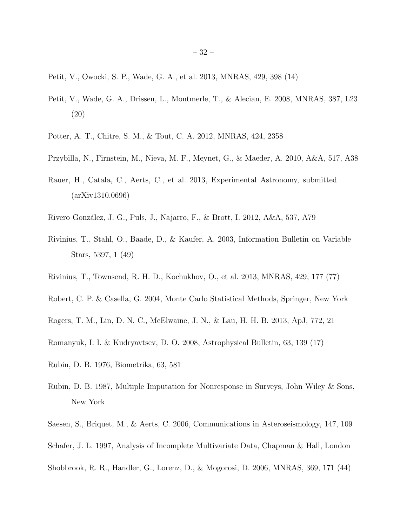- <span id="page-31-9"></span>Petit, V., Owocki, S. P., Wade, G. A., et al. 2013, MNRAS, 429, 398 (14)
- <span id="page-31-11"></span>Petit, V., Wade, G. A., Drissen, L., Montmerle, T., & Alecian, E. 2008, MNRAS, 387, L23 (20)
- <span id="page-31-2"></span>Potter, A. T., Chitre, S. M., & Tout, C. A. 2012, MNRAS, 424, 2358
- <span id="page-31-0"></span>Przybilla, N., Firnstein, M., Nieva, M. F., Meynet, G., & Maeder, A. 2010, A&A, 517, A38
- <span id="page-31-7"></span>Rauer, H., Catala, C., Aerts, C., et al. 2013, Experimental Astronomy, submitted (arXiv1310.0696)
- <span id="page-31-1"></span>Rivero González, J. G., Puls, J., Najarro, F., & Brott, I. 2012, A&A, 537, A79
- <span id="page-31-14"></span>Rivinius, T., Stahl, O., Baade, D., & Kaufer, A. 2003, Information Bulletin on Variable Stars, 5397, 1 (49)
- <span id="page-31-15"></span>Rivinius, T., Townsend, R. H. D., Kochukhov, O., et al. 2013, MNRAS, 429, 177 (77)
- <span id="page-31-6"></span>Robert, C. P. & Casella, G. 2004, Monte Carlo Statistical Methods, Springer, New York
- <span id="page-31-8"></span>Rogers, T. M., Lin, D. N. C., McElwaine, J. N., & Lau, H. H. B. 2013, ApJ, 772, 21
- <span id="page-31-10"></span>Romanyuk, I. I. & Kudryavtsev, D. O. 2008, Astrophysical Bulletin, 63, 139 (17)
- <span id="page-31-3"></span>Rubin, D. B. 1976, Biometrika, 63, 581
- <span id="page-31-4"></span>Rubin, D. B. 1987, Multiple Imputation for Nonresponse in Surveys, John Wiley & Sons, New York
- <span id="page-31-12"></span>Saesen, S., Briquet, M., & Aerts, C. 2006, Communications in Asteroseismology, 147, 109
- <span id="page-31-5"></span>Schafer, J. L. 1997, Analysis of Incomplete Multivariate Data, Chapman & Hall, London
- <span id="page-31-13"></span>Shobbrook, R. R., Handler, G., Lorenz, D., & Mogorosi, D. 2006, MNRAS, 369, 171 (44)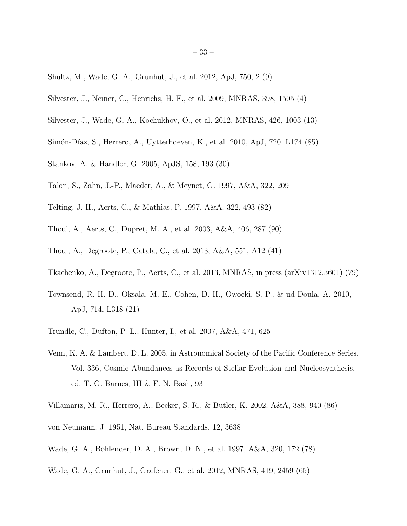- <span id="page-32-2"></span>Shultz, M., Wade, G. A., Grunhut, J., et al. 2012, ApJ, 750, 2 (9)
- <span id="page-32-7"></span>Silvester, J., Neiner, C., Henrichs, H. F., et al. 2009, MNRAS, 398, 1505 (4)
- <span id="page-32-8"></span>Silvester, J., Wade, G. A., Kochukhov, O., et al. 2012, MNRAS, 426, 1003 (13)
- <span id="page-32-6"></span>Simón-Díaz, S., Herrero, A., Uytterhoeven, K., et al. 2010, ApJ, 720, L174 (85)
- <span id="page-32-10"></span>Stankov, A. & Handler, G. 2005, ApJS, 158, 193 (30)
- <span id="page-32-0"></span>Talon, S., Zahn, J.-P., Maeder, A., & Meynet, G. 1997, A&A, 322, 209
- <span id="page-32-14"></span>Telting, J. H., Aerts, C., & Mathias, P. 1997, A&A, 322, 493 (82)
- <span id="page-32-16"></span>Thoul, A., Aerts, C., Dupret, M. A., et al. 2003, A&A, 406, 287 (90)
- <span id="page-32-11"></span>Thoul, A., Degroote, P., Catala, C., et al. 2013, A&A, 551, A12 (41)
- <span id="page-32-3"></span>Tkachenko, A., Degroote, P., Aerts, C., et al. 2013, MNRAS, in press (arXiv1312.3601) (79)
- <span id="page-32-9"></span>Townsend, R. H. D., Oksala, M. E., Cohen, D. H., Owocki, S. P., & ud-Doula, A. 2010, ApJ, 714, L318 (21)
- <span id="page-32-5"></span>Trundle, C., Dufton, P. L., Hunter, I., et al. 2007, A&A, 471, 625
- <span id="page-32-1"></span>Venn, K. A. & Lambert, D. L. 2005, in Astronomical Society of the Pacific Conference Series, Vol. 336, Cosmic Abundances as Records of Stellar Evolution and Nucleosynthesis, ed. T. G. Barnes, III & F. N. Bash, 93
- <span id="page-32-15"></span>Villamariz, M. R., Herrero, A., Becker, S. R., & Butler, K. 2002, A&A, 388, 940 (86)
- <span id="page-32-4"></span>von Neumann, J. 1951, Nat. Bureau Standards, 12, 3638
- <span id="page-32-13"></span>Wade, G. A., Bohlender, D. A., Brown, D. N., et al. 1997, A&A, 320, 172 (78)
- <span id="page-32-12"></span>Wade, G. A., Grunhut, J., Gräfener, G., et al. 2012, MNRAS, 419, 2459 (65)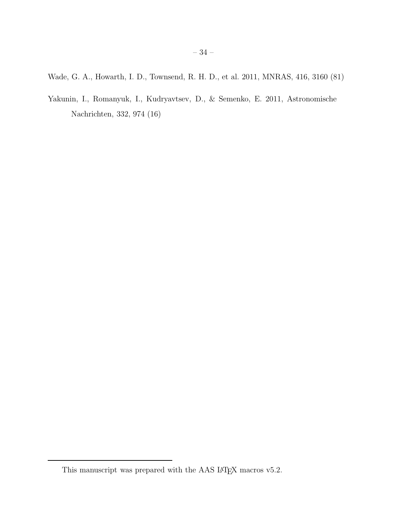<span id="page-33-2"></span>Wade, G. A., Howarth, I. D., Townsend, R. H. D., et al. 2011, MNRAS, 416, 3160 (81)

<span id="page-33-1"></span>Yakunin, I., Romanyuk, I., Kudryavtsev, D., & Semenko, E. 2011, Astronomische Nachrichten, 332, 974 (16)

<span id="page-33-0"></span>This manuscript was prepared with the AAS IATEX macros v5.2.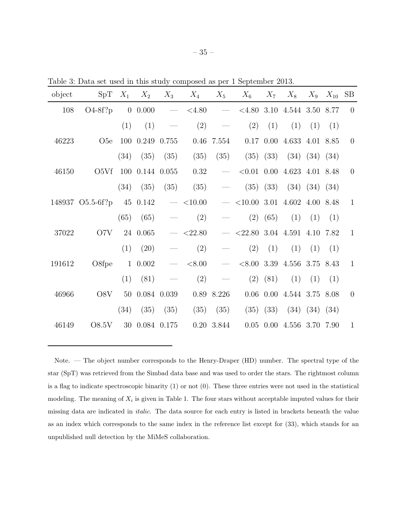| object | SpT             | $X_1$          | $X_2$           | $X_3$                           | $X_4$      | $X_5$      | $X_6$                          | $X_7$    | $X_8$                         | $X_9$                | $X_{10}$ SB |                |
|--------|-----------------|----------------|-----------------|---------------------------------|------------|------------|--------------------------------|----------|-------------------------------|----------------------|-------------|----------------|
| 108    | $O4-8f?p$       | $\overline{0}$ | 0.000           | $\overbrace{\qquad \qquad }^{}$ | < 4.80     |            | < 4.80                         | 3.10     | 4.544 3.50                    |                      | 8.77        | $\overline{0}$ |
|        |                 | (1)            | (1)             |                                 | (2)        |            | (2)                            | (1)      | (1)                           | (1)                  | (1)         |                |
| 46223  | O <sub>5e</sub> |                | 100 0.249 0.755 |                                 |            | 0.46 7.554 | 0.17                           |          | 0.00 4.633 4.01 8.85          |                      |             | $\overline{0}$ |
|        |                 | (34)           | (35)            | (35)                            | (35)       | (35)       | (35)                           | (33)     |                               | $(34)$ $(34)$ $(34)$ |             |                |
| 46150  | O5Vf            |                | 100 0.144 0.055 |                                 | 0.32       |            |                                |          | $< 0.01$ 0.00 4.623 4.01 8.48 |                      |             | $\overline{0}$ |
|        |                 | (34)           | (35)            | (35)                            | (35)       |            | (35)                           | (33)     | (34)                          | (34)                 | (34)        |                |
| 148937 | $O5.5-6f?p$     |                | 45 0.142        | $\overline{\phantom{a}}$        | ${<}10.00$ |            | $<$ 10.00 3.01 4.602 4.00 8.48 |          |                               |                      |             | $\mathbf{1}$   |
|        |                 | (65)           | (65)            |                                 | (2)        |            | (2)                            | (65)     | (1)                           | (1)                  | (1)         |                |
| 37022  | O7V             |                | 24 0.065        |                                 | $<$ 22.80  |            | $<$ 22.80                      |          | 3.04 4.591 4.10 7.82          |                      |             | $\mathbf{1}$   |
|        |                 | (1)            | (20)            |                                 | (2)        |            | (2)                            | (1)      | (1)                           | (1)                  | (1)         |                |
| 191612 | O8fpe           |                | 1 0.002         | $\overline{\phantom{m}}$        | < 8.00     |            |                                |          | $<8.00$ 3.39 4.556 3.75 8.43  |                      |             | $\mathbf{1}$   |
|        |                 | (1)            | (81)            |                                 | (2)        |            | (2)                            | (81)     | (1)                           | (1)                  | (1)         |                |
| 46966  | O8V             | 50             | 0.084 0.039     |                                 |            | 0.89 8.226 | 0.06                           |          | 0.00 4.544 3.75 8.08          |                      |             | $\overline{0}$ |
|        |                 | (34)           | (35)            | (35)                            | (35)       | (35)       | (35)                           | (33)     |                               | $(34)$ $(34)$ $(34)$ |             |                |
| 46149  | O8.5V           | 30             | 0.084 0.175     |                                 | 0.20       | 3.844      | 0.05                           | $0.00\,$ | 4.556 3.70 7.90               |                      |             | 1              |

Table 3: Data set used in this study composed as per 1 September 2013.

Note. — The object number corresponds to the Henry-Draper (HD) number. The spectral type of the star (SpT) was retrieved from the Simbad data base and was used to order the stars. The rightmost column is a flag to indicate spectroscopic binarity (1) or not (0). These three entries were not used in the statistical modeling. The meaning of  $X_i$  is given in Table 1. The four stars without acceptable imputed values for their missing data are indicated in italic. The data source for each entry is listed in brackets beneath the value as an index which corresponds to the same index in the reference list except for (33), which stands for an unpublished null detection by the MiMeS collaboration.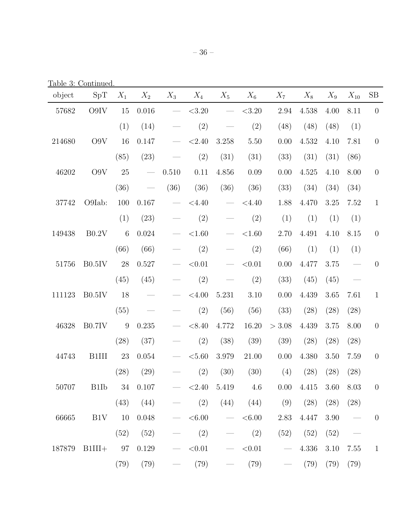Table 3: Continued.

| object | SpT                    | $X_1$           | $X_2$         | $X_3$                    | $X_4$               | $X_5$                    | $X_6$               | $X_7$                      | $X_8$         | $X_9$     | $X_{10}$      | SB             |
|--------|------------------------|-----------------|---------------|--------------------------|---------------------|--------------------------|---------------------|----------------------------|---------------|-----------|---------------|----------------|
| 57682  | O9IV                   | 15              | 0.016         |                          | < 3.20              |                          | < 3.20              | 2.94                       | 4.538         | 4.00      | 8.11          | $\theta$       |
|        |                        | (1)             | (14)          |                          | (2)                 |                          | (2)                 | (48)                       | (48)          | (48)      | (1)           |                |
| 214680 | O9V                    | 16              | 0.147         |                          | < 2.40              | 3.258                    | 5.50                | 0.00                       | 4.532         | 4.10      | 7.81          | $\theta$       |
|        |                        | (85)            | (23)          |                          | (2)                 | (31)                     | (31)                | (33)                       | (31)          | (31)      | (86)          |                |
| 46202  | O9V                    | 25              |               | 0.510                    | 0.11                | 4.856                    | 0.09                | 0.00                       | 4.525         | 4.10      | 8.00          | $\theta$       |
|        |                        | (36)            |               | (36)                     | (36)                | (36)                     | (36)                | (33)                       | (34)          | (34)      | (34)          |                |
| 37742  | O9Iab:                 | 100             | 0.167         |                          | $<$ 4.40            |                          | $<$ 4.40            | 1.88                       | 4.470         | 3.25      | 7.52          | $\mathbf{1}$   |
|        |                        | (1)             | (23)          |                          | (2)                 |                          | (2)                 | (1)                        | (1)           | (1)       | (1)           |                |
| 149438 | B0.2V                  | $6\phantom{.}6$ | 0.024         |                          | ${<}1.60$           |                          | ${<}1.60$           | 2.70                       | 4.491         | 4.10      | 8.15          | $\theta$       |
|        |                        | (66)            | (66)          |                          | (2)                 |                          | (2)                 | (66)                       | (1)           | (1)       | (1)           |                |
| 51756  | $B0.5$ IV              | 28              | 0.527         |                          | < 0.01              |                          | < 0.01              | $0.00\,$                   | 4.477         | 3.75      |               | $\theta$       |
|        |                        | (45)            | (45)          |                          | (2)                 |                          | (2)                 | (33)                       | (45)          | (45)      |               |                |
| 111123 | $B0.5$ IV              | 18              |               |                          | $<\!\!4.00$         | 5.231                    | 3.10                | $0.00\,$                   | 4.439         | 3.65      | 7.61          | $\mathbf{1}$   |
|        |                        | (55)            |               |                          | (2)                 | (56)                     | (56)                | (33)                       | (28)          | (28)      | (28)          |                |
| 46328  | B0.7IV                 | 9               | 0.235         |                          | < 8.40              | 4.772                    | 16.20               | > 3.08                     | 4.439         | 3.75      | 8.00          | $\theta$       |
|        |                        | (28)            | (37)          |                          | (2)                 | (38)                     | (39)                | (39)                       | (28)          | (28)      | (28)          |                |
| 44743  | B1III                  | 23              | $0.054\,$     |                          | < 5.60              | 3.979                    | 21.00               | $0.00\,$                   | 4.380         | 3.50      | 7.59          | $\theta$       |
|        |                        | (28)            | (29)          |                          | (2)                 | (30)                     | (30)                | (4)                        | (28)          | (28)      | (28)          |                |
| 50707  | B1Ib                   |                 | 34 0.107      |                          | $ <$ 2.40 5.419 4.6 |                          |                     | 0.00 4.415                 |               | 3.60 8.03 |               | $\overline{0}$ |
|        |                        |                 | $(43)$ $(44)$ | $\overline{\phantom{m}}$ | (2)                 |                          |                     | $(44)$ $(44)$ $(9)$ $(28)$ |               |           | $(28)$ $(28)$ |                |
| 66665  |                        |                 | B1V 10 0.048  |                          |                     |                          | $-$ <6.00 $-$ <6.00 |                            | 2.83 4.447    | 3.90      |               | $\overline{0}$ |
|        |                        | (52)            | (52)          | $\overline{\phantom{0}}$ | (2)                 | $\overline{\phantom{0}}$ | (2)                 |                            | (52) (52)     | (52)      |               |                |
|        | 187879 B1III+ 97 0.129 |                 |               |                          | $ <$ 0.01           |                          |                     | $-$ <0.01 $-$              | 4.336         | 3.10      | 7.55          | $\overline{1}$ |
|        |                        | (79)            | (79)          | $\overline{\phantom{m}}$ |                     | $(79)$ —                 | (79)                |                            | $- (79) (79)$ |           | (79)          |                |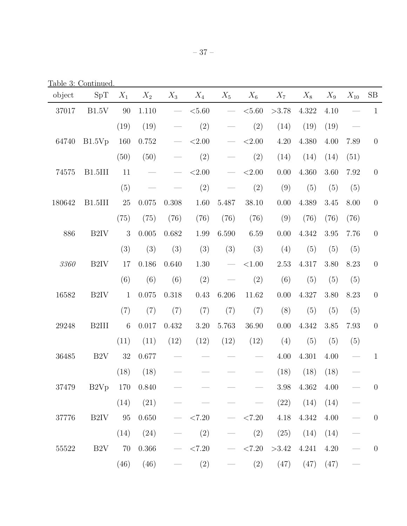Table 3: Continued.

| object | SpT               | $X_1$ | $X_2$     | $X_3$                           | $X_4$     | $X_5$                            | $X_6$     | $X_7$         | $X_8$                 | $X_9$ | $X_{10}$ | $\rm SB$       |
|--------|-------------------|-------|-----------|---------------------------------|-----------|----------------------------------|-----------|---------------|-----------------------|-------|----------|----------------|
| 37017  | B1.5V             | 90    | 1.110     | $\overbrace{\qquad \qquad }^{}$ | < 5.60    | $\overline{\phantom{m}}$         | < 5.60    | >3.78         | 4.322                 | 4.10  |          | $\mathbf{1}$   |
|        |                   | (19)  | (19)      |                                 | (2)       |                                  | (2)       | (14)          | (19)                  | (19)  |          |                |
| 64740  | B1.5Vp            | 160   | 0.752     |                                 | ${<}2.00$ |                                  | ${<}2.00$ | $4.20\,$      | 4.380                 | 4.00  | 7.89     | $\theta$       |
|        |                   | (50)  | (50)      |                                 | (2)       |                                  | (2)       | (14)          | (14)                  | (14)  | (51)     |                |
| 74575  | B1.5III           | 11    |           |                                 | ${<}2.00$ |                                  | ${<}2.00$ | $0.00\,$      | 4.360                 | 3.60  | 7.92     | $\theta$       |
|        |                   | (5)   |           |                                 | (2)       |                                  | (2)       | (9)           | (5)                   | (5)   | (5)      |                |
| 180642 | B1.5III           | 25    | 0.075     | 0.308                           | 1.60      | 5.487                            | 38.10     | 0.00          | 4.389                 | 3.45  | 8.00     | $\theta$       |
|        |                   | (75)  | (75)      | (76)                            | (76)      | (76)                             | (76)      | (9)           | (76)                  | (76)  | (76)     |                |
| 886    | B <sub>2IV</sub>  | 3     | 0.005     | 0.682                           | $1.99\,$  | 6.590                            | 6.59      | 0.00          | 4.342                 | 3.95  | 7.76     | $\theta$       |
|        |                   | (3)   | (3)       | (3)                             | (3)       | (3)                              | (3)       | (4)           | (5)                   | (5)   | (5)      |                |
| 3360   | B <sub>2</sub> IV | 17    | 0.186     | 0.640                           | $1.30\,$  | $\overbrace{\qquad \qquad }^{ }$ | ${<}1.00$ | $2.53\,$      | 4.317                 | 3.80  | 8.23     | $\theta$       |
|        |                   | (6)   | (6)       | (6)                             | (2)       |                                  | (2)       | (6)           | (5)                   | (5)   | (5)      |                |
| 16582  | B <sub>2IV</sub>  | $1\,$ | 0.075     | 0.318                           | 0.43      | 6.206                            | 11.62     | $0.00\,$      | 4.327                 | 3.80  | 8.23     | $\theta$       |
|        |                   | (7)   | (7)       | (7)                             | (7)       | (7)                              | (7)       | (8)           | (5)                   | (5)   | (5)      |                |
| 29248  | B <sub>2III</sub> | $\,6$ | 0.017     | 0.432                           | $3.20\,$  | 5.763                            | 36.90     | $0.00\,$      | 4.342                 | 3.85  | 7.93     | $\theta$       |
|        |                   | (11)  | (11)      | (12)                            | (12)      | (12)                             | (12)      | (4)           | (5)                   | (5)   | (5)      |                |
| 36485  | B2V               | 32    | 0.677     |                                 |           |                                  |           | 4.00          | 4.301                 | 4.00  |          | $\mathbf{1}$   |
|        |                   | (18)  | (18)      |                                 |           |                                  |           | (18)          | (18)                  | (18)  |          |                |
| 37479  | B2Vp 170 0.840    |       |           |                                 |           |                                  |           |               | $3.98$ $4.362$ $4.00$ |       |          | $\overline{0}$ |
|        |                   | (14)  | (21)      |                                 |           |                                  |           |               | $(22)$ $(14)$         | (14)  |          |                |
| 37776  | $B2IV$ 95         |       | 0.650     | $\overline{\phantom{m}}$        | < 7.20    |                                  | $ < 7.20$ | 4.18          | 4.342                 | 4.00  |          | $\overline{0}$ |
|        |                   | (14)  | (24)      |                                 | (2)       |                                  | (2)       | (25)          | (14)                  | (14)  |          |                |
| 55522  | B2V 70            |       | $0.366\,$ | $\overline{\phantom{0}}$        | < 7.20    |                                  | $ < 7.20$ | $>3.42$ 4.241 |                       | 4.20  |          | $\overline{0}$ |
|        |                   | (46)  | (46)      |                                 | (2)       |                                  |           | $(2)$ $(47)$  | (47)                  | (47)  |          |                |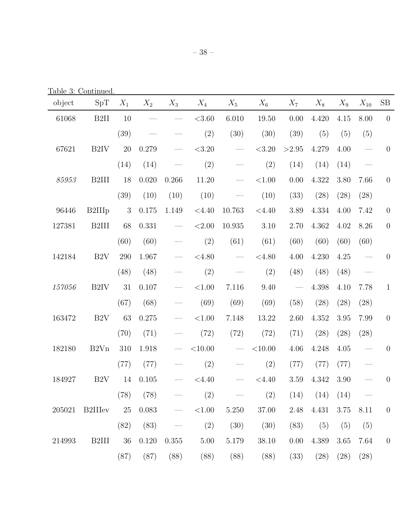Table 3: Continued.

| object | SpT                | $X_1$      | $X_2$         | $X_3$ | $X_4$        | $X_5$                            | $X_6$        | $X_7$                    | $X_8$                | $X_9$    | $X_{10}$                         | SB               |
|--------|--------------------|------------|---------------|-------|--------------|----------------------------------|--------------|--------------------------|----------------------|----------|----------------------------------|------------------|
| 61068  | B <sub>2II</sub>   | 10         |               |       | < 3.60       | 6.010                            | 19.50        | $0.00\,$                 | 4.420                | 4.15     | 8.00                             | $\overline{0}$   |
|        |                    | (39)       |               |       | (2)          | (30)                             | (30)         | (39)                     | (5)                  | (5)      | (5)                              |                  |
| 67621  | B <sub>2IV</sub>   | 20         | 0.279         |       | $<\!\!3.20$  |                                  | < 3.20       | >2.95                    | 4.279                | 4.00     | $\frac{1}{2}$                    | $\overline{0}$   |
|        |                    | (14)       | (14)          |       | (2)          |                                  | (2)          | (14)                     | (14)                 | (14)     | $\overbrace{\qquad \qquad }^{}$  |                  |
| 85953  | B <sub>2III</sub>  | 18         | 0.020         | 0.266 | 11.20        | $\overbrace{\qquad \qquad }^{ }$ | ${<}1.00$    | 0.00                     | 4.322                | 3.80     | 7.66                             | $\boldsymbol{0}$ |
|        |                    | (39)       | (10)          | (10)  | (10)         |                                  | (10)         | (33)                     | (28)                 | (28)     | (28)                             |                  |
| 96446  | B2III <sub>p</sub> | $\sqrt{3}$ | 0.175         | 1.149 | < 4.40       | 10.763                           | $<$ 4.40     | 3.89                     | 4.334                | 4.00     | 7.42                             | $\boldsymbol{0}$ |
| 127381 | B <sub>2III</sub>  | 68         | 0.331         |       | ${<}2.00$    | 10.935                           | 3.10         | 2.70                     | 4.362                | 4.02     | 8.26                             | $\theta$         |
|        |                    | (60)       | (60)          |       | (2)          | (61)                             | (61)         | (60)                     | (60)                 | (60)     | (60)                             |                  |
| 142184 | B2V                | 290        | 1.967         |       | < 4.80       | $\overbrace{\qquad \qquad }^{ }$ | < 4.80       | 4.00                     | 4.230                | 4.25     |                                  | $\theta$         |
|        |                    | (48)       | (48)          |       | (2)          |                                  | (2)          | (48)                     | (48)                 | (48)     | $\overbrace{\qquad \qquad }^{ }$ |                  |
| 157056 | B <sub>2IV</sub>   | 31         | 0.107         |       | ${<}1.00$    | 7.116                            | 9.40         | $\overline{\phantom{m}}$ | 4.398                | 4.10     | 7.78                             | $\mathbf{1}$     |
|        |                    | (67)       | (68)          |       | (69)         | (69)                             | (69)         | (58)                     | (28)                 | (28)     | (28)                             |                  |
| 163472 | B <sub>2</sub> V   | 63         | 0.275         |       | ${<}1.00$    | 7.148                            | 13.22        | $2.60\,$                 | 4.352                | $3.95\,$ | 7.99                             | $\boldsymbol{0}$ |
|        |                    | (70)       | (71)          |       | (72)         | (72)                             | (72)         | (71)                     | (28)                 | (28)     | (28)                             |                  |
| 182180 | B2Vn               | 310        | 1.918         |       | $<\!\!10.00$ | $\overline{\phantom{0}}$         | $<\!\!10.00$ | 4.06                     | 4.248                | 4.05     | $\overline{\phantom{m}}$         | $\overline{0}$   |
|        |                    | (77)       | (77)          |       | (2)          |                                  | (2)          | (77)                     | (77)                 | (77)     |                                  |                  |
| 184927 | B <sub>2</sub> V   | 14         | 0.105         |       | < 4.40       |                                  | $<$ 4.40     | $3.59\,$                 | 4.342                | 3.90     |                                  | $\theta$         |
|        |                    |            | $(78)$ $(78)$ |       | (2)          |                                  | (2)          |                          | $(14)$ $(14)$ $(14)$ |          |                                  |                  |
| 205021 | <b>B2IIIev</b>     | 25         | 0.083         |       | $<\!\!1.00$  | 5.250                            | 37.00        | 2.48                     | 4.431                | $3.75\,$ | 8.11                             | $\theta$         |
|        |                    | (82)       | (83)          |       | (2)          | (30)                             | (30)         | (83)                     | (5)                  | (5)      | (5)                              |                  |
| 214993 | B <sub>2III</sub>  | 36         | 0.120         | 0.355 | $5.00\,$     | $5.179\,$                        | 38.10        | 0.00                     | 4.389                | 3.65     | 7.64                             | $\theta$         |
|        |                    | (87)       | (87)          | (88)  | (88)         | (88)                             | (88)         | (33)                     | (28)                 | (28)     | (28)                             |                  |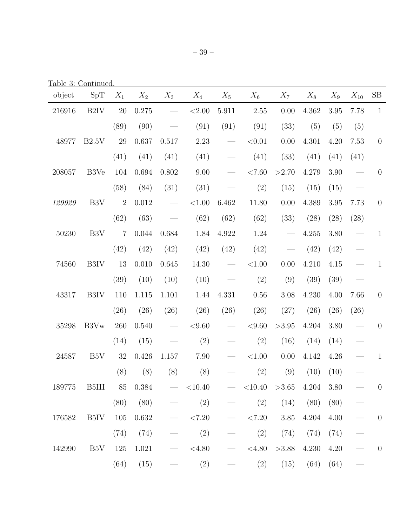Table 3: Continued.

| object | SpT              | $X_1$          | $X_2$ | $X_3$                                                                                                                                                                                                                                                                                                                                                                                                                        | $X_4$      | $X_5$                    | $X_6$              | $X_7$                                     | $X_8$ | $X_9$ | $X_{10}$ | $\rm SB$       |
|--------|------------------|----------------|-------|------------------------------------------------------------------------------------------------------------------------------------------------------------------------------------------------------------------------------------------------------------------------------------------------------------------------------------------------------------------------------------------------------------------------------|------------|--------------------------|--------------------|-------------------------------------------|-------|-------|----------|----------------|
| 216916 | B <sub>2IV</sub> | 20             | 0.275 | $\overline{\phantom{m}}$                                                                                                                                                                                                                                                                                                                                                                                                     | ${<}2.00$  | 5.911                    | 2.55               | 0.00                                      | 4.362 | 3.95  | 7.78     | $\mathbf{1}$   |
|        |                  | (89)           | (90)  |                                                                                                                                                                                                                                                                                                                                                                                                                              | (91)       | (91)                     | (91)               | (33)                                      | (5)   | (5)   | (5)      |                |
| 48977  | B2.5V            | 29             | 0.637 | 0.517                                                                                                                                                                                                                                                                                                                                                                                                                        | 2.23       | $\overline{\phantom{0}}$ | < 0.01             | 0.00                                      | 4.301 | 4.20  | 7.53     | $\theta$       |
|        |                  | (41)           | (41)  | (41)                                                                                                                                                                                                                                                                                                                                                                                                                         | (41)       |                          | (41)               | (33)                                      | (41)  | (41)  | (41)     |                |
| 208057 | B3Ve             | 104            | 0.694 | 0.802                                                                                                                                                                                                                                                                                                                                                                                                                        | 9.00       |                          | ${<}7.60$          | >2.70                                     | 4.279 | 3.90  |          | $\theta$       |
|        |                  | (58)           | (84)  | (31)                                                                                                                                                                                                                                                                                                                                                                                                                         | (31)       |                          | (2)                | (15)                                      | (15)  | (15)  |          |                |
| 129929 | B <sub>3</sub> V | $\overline{2}$ | 0.012 |                                                                                                                                                                                                                                                                                                                                                                                                                              | ${<}1.00$  | 6.462                    | 11.80              | 0.00                                      | 4.389 | 3.95  | 7.73     | $\theta$       |
|        |                  | (62)           | (63)  |                                                                                                                                                                                                                                                                                                                                                                                                                              | (62)       | (62)                     | (62)               | (33)                                      | (28)  | (28)  | (28)     |                |
| 50230  | B <sub>3</sub> V | $\overline{7}$ | 0.044 | 0.684                                                                                                                                                                                                                                                                                                                                                                                                                        | 1.84       | 4.922                    | 1.24               | $\qquad \qquad \overline{\qquad \qquad }$ | 4.255 | 3.80  |          | $\mathbf{1}$   |
|        |                  | (42)           | (42)  | (42)                                                                                                                                                                                                                                                                                                                                                                                                                         | (42)       | (42)                     | (42)               |                                           | (42)  | (42)  |          |                |
| 74560  | B3IV             | 13             | 0.010 | 0.645                                                                                                                                                                                                                                                                                                                                                                                                                        | 14.30      |                          | ${<}1.00$          | 0.00                                      | 4.210 | 4.15  |          | $\mathbf{1}$   |
|        |                  | (39)           | (10)  | (10)                                                                                                                                                                                                                                                                                                                                                                                                                         | (10)       |                          | (2)                | (9)                                       | (39)  | (39)  |          |                |
| 43317  | B3IV             | 110            | 1.115 | 1.101                                                                                                                                                                                                                                                                                                                                                                                                                        | 1.44       | 4.331                    | $0.56\,$           | 3.08                                      | 4.230 | 4.00  | 7.66     | $\theta$       |
|        |                  | (26)           | (26)  | (26)                                                                                                                                                                                                                                                                                                                                                                                                                         | (26)       | (26)                     | (26)               | (27)                                      | (26)  | (26)  | (26)     |                |
| 35298  | B3V <sub>w</sub> | 260            | 0.540 | $\overline{\phantom{a}}$                                                                                                                                                                                                                                                                                                                                                                                                     | < 9.60     | $\overline{\phantom{0}}$ | < 9.60             | >3.95                                     | 4.204 | 3.80  |          | $\overline{0}$ |
|        |                  | (14)           | (15)  |                                                                                                                                                                                                                                                                                                                                                                                                                              | (2)        |                          | (2)                | (16)                                      | (14)  | (14)  |          |                |
| 24587  | B <sub>5</sub> V | 32             | 0.426 | 1.157                                                                                                                                                                                                                                                                                                                                                                                                                        | 7.90       |                          | ${<}1.00$          | 0.00                                      | 4.142 | 4.26  |          | $\mathbf{1}$   |
|        |                  | (8)            | (8)   | (8)                                                                                                                                                                                                                                                                                                                                                                                                                          | (8)        |                          | (2)                | (9)                                       | (10)  | (10)  |          |                |
| 189775 | B5III            | 85             | 0.384 |                                                                                                                                                                                                                                                                                                                                                                                                                              | $ <$ 10.40 |                          | $< 10.40$ $> 3.65$ |                                           | 4.204 | 3.80  |          | $\overline{0}$ |
|        |                  | (80)           | (80)  |                                                                                                                                                                                                                                                                                                                                                                                                                              | (2)        |                          | (2)                | (14)                                      | (80)  | (80)  |          |                |
| 176582 | B5IV             | 105            | 0.632 |                                                                                                                                                                                                                                                                                                                                                                                                                              | ${<}7.20$  |                          | < 7.20             | $3.85\,$                                  | 4.204 | 4.00  |          | $\overline{0}$ |
|        |                  | (74)           | (74)  |                                                                                                                                                                                                                                                                                                                                                                                                                              | (2)        |                          | (2)                | (74)                                      | (74)  | (74)  |          |                |
| 142990 | B <sub>5</sub> V | 125            | 1.021 | $\frac{1}{\sqrt{2}}\left( \frac{1}{\sqrt{2}}\right) ^{2}+\frac{1}{\sqrt{2}}\left( \frac{1}{\sqrt{2}}\right) ^{2}+\frac{1}{\sqrt{2}}\left( \frac{1}{\sqrt{2}}\right) ^{2}+\frac{1}{\sqrt{2}}\left( \frac{1}{\sqrt{2}}\right) ^{2}+\frac{1}{\sqrt{2}}\left( \frac{1}{\sqrt{2}}\right) ^{2}+\frac{1}{\sqrt{2}}\left( \frac{1}{\sqrt{2}}\right) ^{2}+\frac{1}{\sqrt{2}}\left( \frac{1}{\sqrt{2}}\right) ^{2}+\frac{1}{\sqrt{2}}$ | < 4.80     |                          | < 4.80             | >3.88                                     | 4.230 | 4.20  |          | $\overline{0}$ |
|        |                  | (64)           | (15)  |                                                                                                                                                                                                                                                                                                                                                                                                                              | (2)        |                          | (2)                | (15)                                      | (64)  | (64)  |          |                |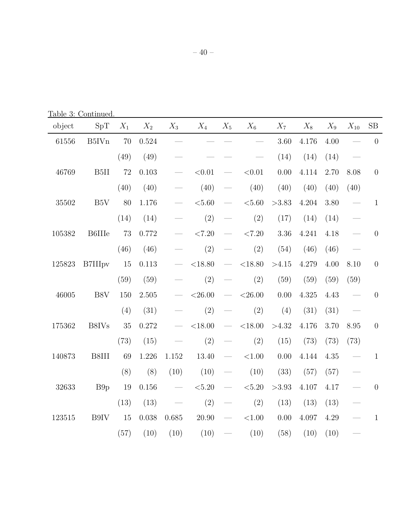Table 3: Continued.

| object | SpT               | $X_1$ | $X_2$     | $X_3$ | $X_4$     | $X_5$                       | $X_6$       | $X_7$    | $X_8$ | $X_9$ | $X_{10}$ | SB               |
|--------|-------------------|-------|-----------|-------|-----------|-----------------------------|-------------|----------|-------|-------|----------|------------------|
| 61556  | B5IV <sub>n</sub> | 70    | 0.524     |       |           |                             |             | $3.60\,$ | 4.176 | 4.00  |          | $\overline{0}$   |
|        |                   | (49)  | (49)      |       |           |                             |             | (14)     | (14)  | (14)  |          |                  |
| 46769  | B <sub>5II</sub>  | 72    | 0.103     |       | < 0.01    | $\overline{\phantom{0}}$    | < 0.01      | 0.00     | 4.114 | 2.70  | 8.08     | $\theta$         |
|        |                   | (40)  | (40)      |       | (40)      |                             | (40)        | (40)     | (40)  | (40)  | (40)     |                  |
| 35502  | B5V               | 80    | 1.176     |       | ${<}5.60$ |                             | $<\!5.60$   | >3.83    | 4.204 | 3.80  |          | $\mathbf{1}$     |
|        |                   | (14)  | (14)      |       | (2)       |                             | (2)         | (17)     | (14)  | (14)  |          |                  |
| 105382 | <b>B6IIIe</b>     | 73    | 0.772     |       | ${<}7.20$ |                             | ${<}7.20$   | 3.36     | 4.241 | 4.18  |          | $\theta$         |
|        |                   | (46)  | (46)      |       | (2)       |                             | (2)         | (54)     | (46)  | (46)  |          |                  |
| 125823 | <b>B7IIIpv</b>    | 15    | 0.113     |       | < 18.80   | $\overbrace{\hspace{15em}}$ | ${<}18.80$  | >4.15    | 4.279 | 4.00  | 8.10     | $\boldsymbol{0}$ |
|        |                   | (59)  | (59)      |       | (2)       |                             | (2)         | (59)     | (59)  | (59)  | (59)     |                  |
| 46005  | B8V               | 150   | 2.505     |       | $<$ 26.00 |                             | $<$ 26.00   | 0.00     | 4.325 | 4.43  |          | $\overline{0}$   |
|        |                   | (4)   | (31)      |       | (2)       |                             | (2)         | (4)      | (31)  | (31)  |          |                  |
| 175362 | B8IVs             | 35    | 0.272     |       | $<$ 18.00 |                             | $<$ 18.00   | >4.32    | 4.176 | 3.70  | 8.95     | $\theta$         |
|        |                   | (73)  | (15)      |       | (2)       |                             | (2)         | (15)     | (73)  | (73)  | (73)     |                  |
| 140873 | B8III             | 69    | 1.226     | 1.152 | 13.40     | $\overline{\phantom{0}}$    | ${<}1.00$   | 0.00     | 4.144 | 4.35  |          | $\mathbf{1}$     |
|        |                   | (8)   | (8)       | (10)  | (10)      |                             | (10)        | (33)     | (57)  | (57)  |          |                  |
| 32633  | B <sub>9p</sub>   | 19    | $0.156\,$ |       | $<\!5.20$ |                             | ${<}5.20$   | >3.93    | 4.107 | 4.17  |          | $\theta$         |
|        |                   | (13)  | (13)      |       | (2)       |                             | (2)         | (13)     | (13)  | (13)  |          |                  |
| 123515 | B9IV              | 15    | 0.038     | 0.685 | 20.90     | $\hspace{0.1cm}$            | $<\!\!1.00$ | $0.00\,$ | 4.097 | 4.29  |          | $\mathbf{1}$     |
|        |                   | (57)  | (10)      | (10)  | (10)      |                             | (10)        | (58)     | (10)  | (10)  |          |                  |